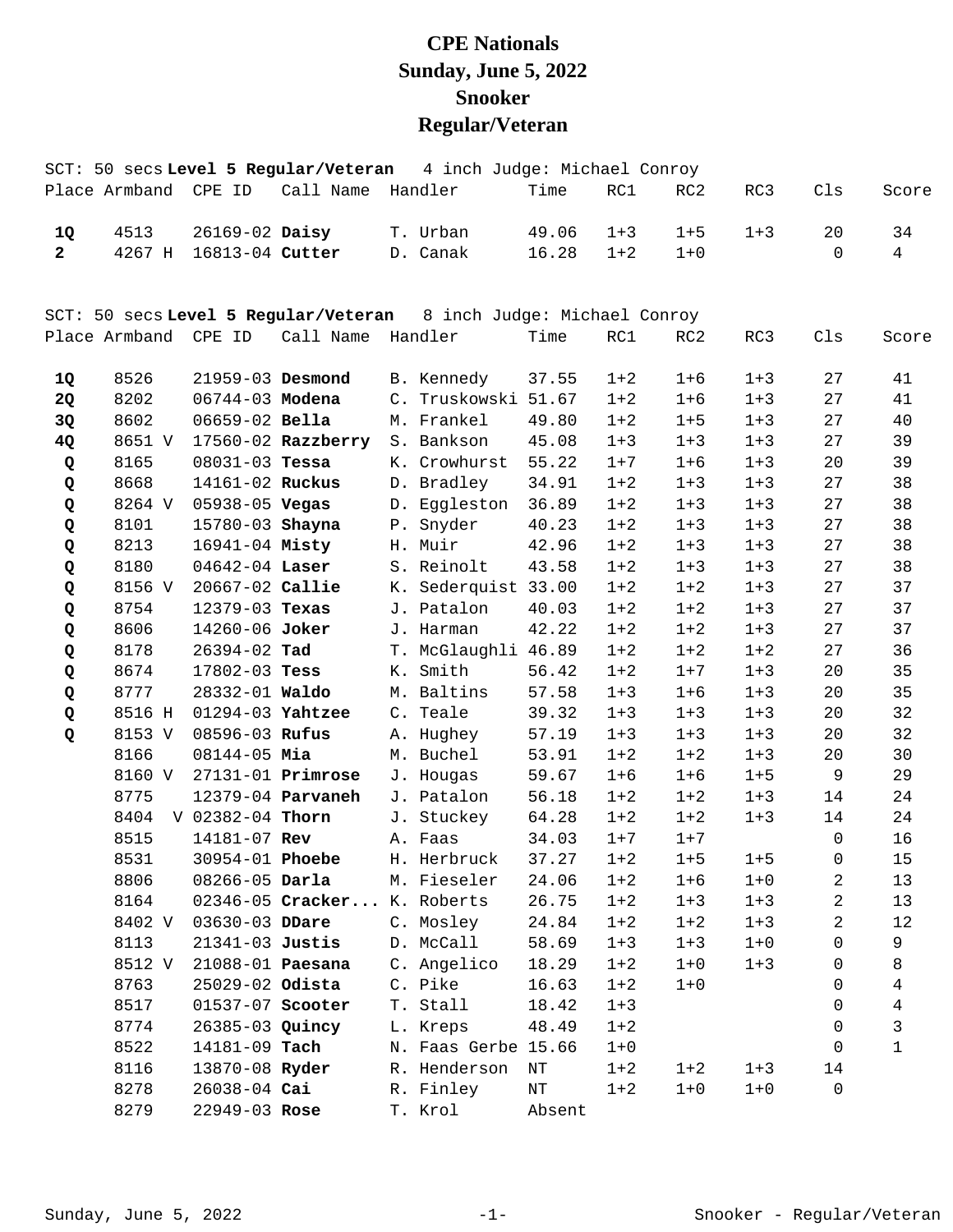## **CPE Nationals Sunday, June 5, 2022 Snooker Regular/Veteran**

|                |                      |                         | SCT: 50 secs Level 5 Regular/Veteran | 4 inch Judge: Michael Conroy                                      |        |         |         |         |             |                |
|----------------|----------------------|-------------------------|--------------------------------------|-------------------------------------------------------------------|--------|---------|---------|---------|-------------|----------------|
|                |                      | Place Armband CPE ID    | Call Name                            | Handler                                                           | Time   | RC1     | RC2     | RC3     | Cls         | Score          |
| 1Q             | 4513                 | 26169-02 Daisy          |                                      | T. Urban                                                          | 49.06  | $1 + 3$ | $1 + 5$ | $1 + 3$ | 20          | 34             |
| $\overline{2}$ | 4267 H               | 16813-04 Cutter         |                                      | D. Canak                                                          | 16.28  | $1 + 2$ | $1 + 0$ |         | $\Omega$    | $\overline{4}$ |
|                |                      |                         |                                      | SCT: 50 secs Level 5 Regular/Veteran 8 inch Judge: Michael Conroy |        |         |         |         |             |                |
|                | Place Armband CPE ID |                         | Call Name Handler                    |                                                                   | Time   | RC1     | RC2     | RC3     | Cls         | Score          |
| 1Q             | 8526                 | 21959-03 Desmond        |                                      | B. Kennedy                                                        | 37.55  | $1 + 2$ | $1 + 6$ | $1 + 3$ | 27          | 41             |
| 2Q             | 8202                 | 06744-03 Modena         |                                      | C. Truskowski 51.67                                               |        | $1 + 2$ | $1 + 6$ | $1 + 3$ | 27          | 41             |
| 3Q             | 8602                 | 06659-02 Bella          |                                      | M. Frankel                                                        | 49.80  | $1 + 2$ | $1 + 5$ | $1 + 3$ | 27          | 40             |
| 4Q             | 8651 V               |                         | $17560 - 02$ Razzberry               | S. Bankson                                                        | 45.08  | $1 + 3$ | $1 + 3$ | $1 + 3$ | 27          | 39             |
| Q              | 8165                 | $08031 - 03$ Tessa      |                                      | K. Crowhurst                                                      | 55.22  | $1 + 7$ | $1 + 6$ | $1 + 3$ | 20          | 39             |
| Q              | 8668                 | 14161-02 Ruckus         |                                      | D. Bradley                                                        | 34.91  | $1 + 2$ | $1 + 3$ | $1 + 3$ | 27          | 38             |
| Q              | 8264 V               | 05938-05 Vegas          |                                      | D. Eggleston                                                      | 36.89  | $1 + 2$ | $1 + 3$ | $1 + 3$ | 27          | 38             |
| Q              | 8101                 | 15780-03 Shayna         |                                      | P. Snyder                                                         | 40.23  | $1 + 2$ | $1 + 3$ | $1 + 3$ | 27          | 38             |
| Q              | 8213                 | 16941-04 Misty          |                                      | H. Muir                                                           | 42.96  | $1 + 2$ | $1 + 3$ | $1 + 3$ | 27          | 38             |
| Q              | 8180                 | $04642 - 04$ Laser      |                                      | S. Reinolt                                                        | 43.58  | $1 + 2$ | $1 + 3$ | $1 + 3$ | 27          | 38             |
| Q              | 8156 V               | 20667-02 Callie         |                                      | K. Sederquist 33.00                                               |        | $1 + 2$ | $1 + 2$ | $1 + 3$ | 27          | 37             |
| Q              | 8754                 | 12379-03 Texas          |                                      | J. Patalon                                                        | 40.03  | $1 + 2$ | $1 + 2$ | $1 + 3$ | 27          | 37             |
| Q              | 8606                 | 14260-06 Joker          |                                      | J. Harman                                                         | 42.22  | $1 + 2$ | $1 + 2$ | $1 + 3$ | 27          | 37             |
| Q              | 8178                 | 26394-02 Tad            |                                      | T. McGlaughli 46.89                                               |        | $1 + 2$ | $1 + 2$ | $1 + 2$ | 27          | 36             |
| Q              | 8674                 | 17802-03 Tess           |                                      | K. Smith                                                          | 56.42  | $1 + 2$ | $1 + 7$ | $1 + 3$ | 20          | 35             |
| Q              | 8777                 | 28332-01 Waldo          |                                      | M. Baltins                                                        | 57.58  | $1 + 3$ | $1 + 6$ | $1 + 3$ | 20          | 35             |
| Q              | 8516 H               | 01294-03 Yahtzee        |                                      | C. Teale                                                          | 39.32  | $1 + 3$ | $1 + 3$ | $1 + 3$ | 20          | 32             |
| Q              | 8153 V               | 08596-03 Rufus          |                                      | A. Hughey                                                         | 57.19  | $1 + 3$ | $1 + 3$ | $1 + 3$ | 20          | 32             |
|                | 8166                 | 08144-05 Mia            |                                      | M. Buchel                                                         | 53.91  | $1 + 2$ | $1 + 2$ | $1 + 3$ | 20          | 30             |
|                | 8160 V               |                         | $27131 - 01$ Primrose                | J. Hougas                                                         | 59.67  | $1 + 6$ | $1 + 6$ | $1 + 5$ | 9           | 29             |
|                | 8775                 |                         | 12379-04 <b>Parvaneh</b>             | J. Patalon                                                        | 56.18  | $1 + 2$ | $1 + 2$ | $1 + 3$ | 14          | 24             |
|                | 8404                 | V 02382-04 Thorn        |                                      | J. Stuckey                                                        | 64.28  | $1 + 2$ | $1 + 2$ | $1 + 3$ | 14          | 24             |
|                | 8515                 | 14181-07 Rev            |                                      | A. Faas                                                           | 34.03  | $1 + 7$ | $1 + 7$ |         | $\mathbf 0$ | 16             |
|                | 8531                 | 30954-01 Phoebe         |                                      | H. Herbruck                                                       | 37.27  | $1 + 2$ | $1 + 5$ | $1 + 5$ | $\Omega$    | 15             |
|                | 8806                 |                         | 08266-05 <b>Darla</b>                | M. Fieseler                                                       | 24.06  | $1 + 2$ | $1 + 6$ | $1 + 0$ | 2           | 13             |
|                | 8164                 |                         | 02346-05 Cracker K. Roberts          |                                                                   | 26.75  | $1 + 2$ | $1 + 3$ | $1 + 3$ | 2           | 13             |
|                | 8402 V               | 03630-03 DDare          |                                      | C. Mosley                                                         | 24.84  | $1 + 2$ | $1 + 2$ | $1 + 3$ | 2           | 12             |
|                | 8113                 |                         | 21341-03 Justis                      | D. McCall                                                         | 58.69  | $1 + 3$ | $1 + 3$ | $1 + 0$ | $\Omega$    | 9              |
|                | 8512 V               | 21088-01 <b>Paesana</b> |                                      | C. Angelico                                                       | 18.29  | $1 + 2$ | $1 + 0$ | $1 + 3$ | 0           | 8              |
|                | 8763                 | 25029-02 Odista         |                                      | C. Pike                                                           | 16.63  | $1 + 2$ | $1 + 0$ |         | 0           | 4              |
|                | 8517                 | 01537-07 Scooter        |                                      | T. Stall                                                          | 18.42  | $1 + 3$ |         |         | 0           | 4              |
|                | 8774                 |                         | 26385-03 Quincy                      | L. Kreps                                                          | 48.49  | $1 + 2$ |         |         | 0           | 3              |
|                | 8522                 | 14181-09 Tach           |                                      | N. Faas Gerbe 15.66                                               |        | $1 + 0$ |         |         | $\Omega$    | $\mathbf 1$    |
|                | 8116                 | 13870-08 Ryder          |                                      | R. Henderson                                                      | NT     | $1 + 2$ | $1 + 2$ | $1 + 3$ | 14          |                |
|                | 8278                 | 26038-04 Cai            |                                      | R. Finley                                                         | ΝT     | $1 + 2$ | $1 + 0$ | $1 + 0$ | $\mathbf 0$ |                |
|                | 8279                 | 22949-03 Rose           |                                      | T. Krol                                                           | Absent |         |         |         |             |                |
|                |                      |                         |                                      |                                                                   |        |         |         |         |             |                |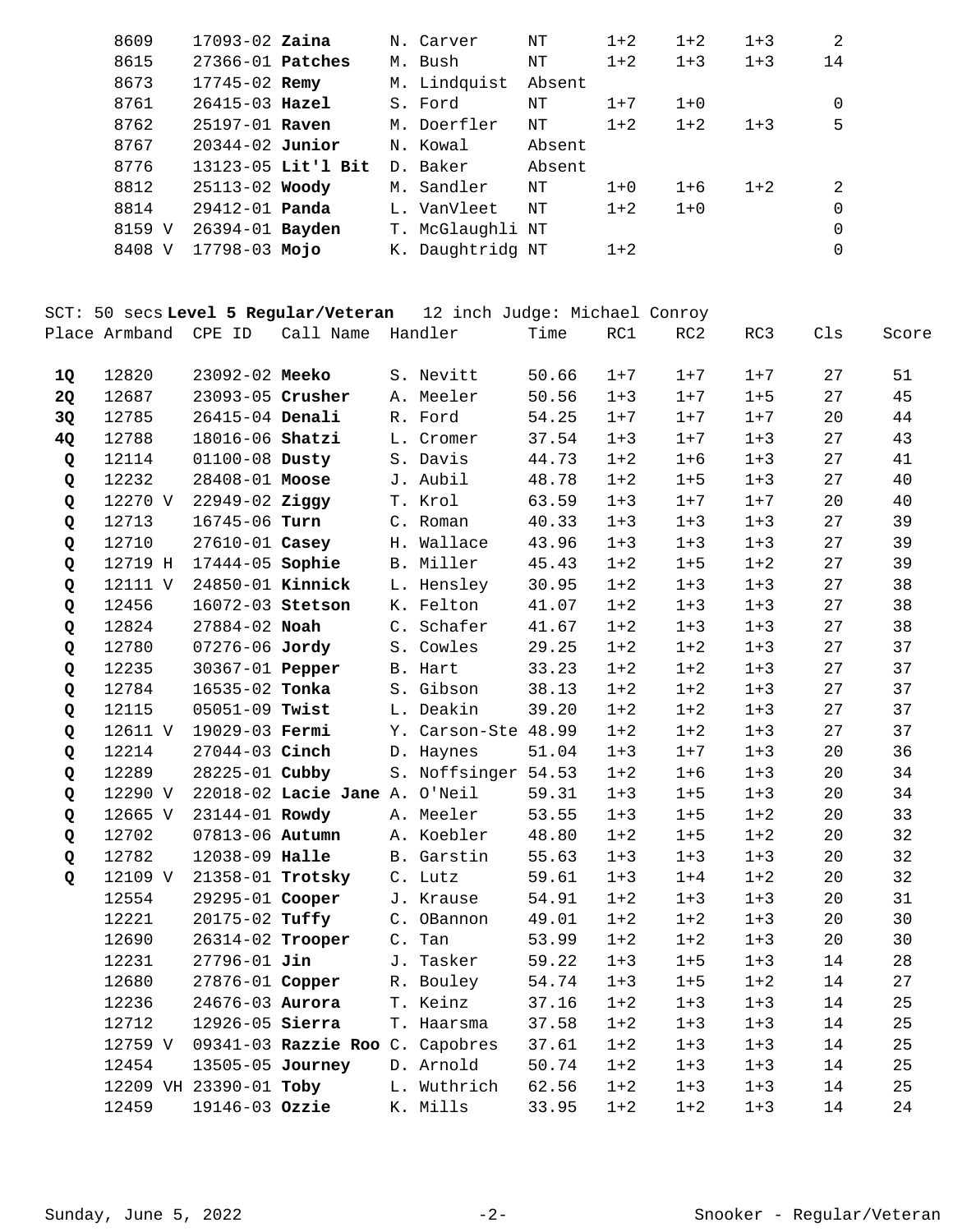| 8609   | $17093 - 02$ Zaina    |                    | N. Carver        | NΤ     | $1 + 2$ | $1 + 2$ | $1 + 3$ | 2             |
|--------|-----------------------|--------------------|------------------|--------|---------|---------|---------|---------------|
| 8615   | $27366 - 01$ Patches  |                    | M. Bush          | ΝT     | $1 + 2$ | $1 + 3$ | $1 + 3$ | 14            |
| 8673   | $17745 - 02$ Remy     |                    | M. Lindquist     | Absent |         |         |         |               |
| 8761   | $26415 - 03$ Hazel    |                    | S. Ford          | ΝT     | $1+7$   | $1 + 0$ |         | 0             |
| 8762   | $25197 - 01$ Raven    |                    | M. Doerfler      | ΝT     | $1 + 2$ | $1 + 2$ | $1 + 3$ | 5             |
| 8767   | $20344 - 02$ Junior   |                    | N. Kowal         | Absent |         |         |         |               |
| 8776   |                       | 13123-05 Lit'l Bit | D. Baker         | Absent |         |         |         |               |
| 8812   | 25113-02 Woody        |                    | M. Sandler       | ΝT     | $1 + 0$ | $1+6$   | $1 + 2$ | $\mathcal{L}$ |
| 8814   | 29412-01 <b>Panda</b> |                    | L. VanVleet      | ΝT     | $1 + 2$ | $1 + 0$ |         | $\Omega$      |
| 8159 V | 26394-01 Bayden       |                    | T. McGlaughli NT |        |         |         |         | $\Omega$      |
| 8408 V | 17798-03 Mojo         |                    | K. Daughtridg NT |        | $1 + 2$ |         |         | $\Omega$      |
|        |                       |                    |                  |        |         |         |         |               |

SCT: 50 secs **Level 5 Regular/Veteran** 12 inch Judge: Michael Conroy Place Armband CPE ID Call Name Handler Time RC1 RC2 RC3 Cls Score

| 1Q | 12820   | 23092-02 Meeko         |                                 |       | S. Nevitt           | 50.66 | $1 + 7$ | $1 + 7$ | $1 + 7$ | 27 | 51 |
|----|---------|------------------------|---------------------------------|-------|---------------------|-------|---------|---------|---------|----|----|
| 2Q | 12687   | 23093-05 Crusher       |                                 |       | A. Meeler           | 50.56 | $1 + 3$ | $1 + 7$ | $1 + 5$ | 27 | 45 |
| 3Q | 12785   | 26415-04 Denali        |                                 |       | R. Ford             | 54.25 | $1 + 7$ | $1 + 7$ | $1 + 7$ | 20 | 44 |
| 4Q | 12788   | 18016-06 Shatzi        |                                 |       | L. Cromer           | 37.54 | $1 + 3$ | $1 + 7$ | $1 + 3$ | 27 | 43 |
| Q  | 12114   | 01100-08 Dusty         |                                 |       | S. Davis            | 44.73 | $1 + 2$ | $1 + 6$ | $1 + 3$ | 27 | 41 |
| Q  | 12232   | 28408-01 Moose         |                                 |       | J. Aubil            | 48.78 | $1 + 2$ | $1 + 5$ | $1 + 3$ | 27 | 40 |
| Q  | 12270 V | 22949-02 Ziggy         |                                 |       | T. Krol             | 63.59 | $1 + 3$ | $1 + 7$ | $1 + 7$ | 20 | 40 |
| Q  | 12713   | 16745-06 Turn          |                                 |       | C. Roman            | 40.33 | $1 + 3$ | $1 + 3$ | $1 + 3$ | 27 | 39 |
| Q  | 12710   | 27610-01 Casey         |                                 |       | H. Wallace          | 43.96 | $1 + 3$ | $1 + 3$ | $1 + 3$ | 27 | 39 |
| Q  | 12719 H | 17444-05 Sophie        |                                 |       | B. Miller           | 45.43 | $1 + 2$ | $1 + 5$ | $1 + 2$ | 27 | 39 |
| Q  | 12111 V | 24850-01 Kinnick       |                                 |       | L. Hensley          | 30.95 | $1 + 2$ | $1 + 3$ | $1 + 3$ | 27 | 38 |
| Q  | 12456   | 16072-03 Stetson       |                                 |       | K. Felton           | 41.07 | $1 + 2$ | $1 + 3$ | $1 + 3$ | 27 | 38 |
| Q  | 12824   | 27884-02 Noah          |                                 | C.    | Schafer             | 41.67 | $1 + 2$ | $1 + 3$ | $1 + 3$ | 27 | 38 |
| Q  | 12780   | 07276-06 Jordy         |                                 |       | S. Cowles           | 29.25 | $1 + 2$ | $1 + 2$ | $1 + 3$ | 27 | 37 |
| Q  | 12235   | 30367-01 <b>Pepper</b> |                                 |       | B. Hart             | 33.23 | $1 + 2$ | $1 + 2$ | $1 + 3$ | 27 | 37 |
| Q  | 12784   | 16535-02 Tonka         |                                 |       | S. Gibson           | 38.13 | $1 + 2$ | $1 + 2$ | $1 + 3$ | 27 | 37 |
| Q  | 12115   | 05051-09 Twist         |                                 |       | L. Deakin           | 39.20 | $1 + 2$ | $1 + 2$ | $1 + 3$ | 27 | 37 |
| Q  | 12611 V | 19029-03 Fermi         |                                 |       | Y. Carson-Ste 48.99 |       | $1 + 2$ | $1 + 2$ | $1 + 3$ | 27 | 37 |
| Q  | 12214   | 27044-03 Cinch         |                                 |       | D. Haynes           | 51.04 | $1 + 3$ | $1 + 7$ | $1 + 3$ | 20 | 36 |
| Q  | 12289   | 28225-01 Cubby         |                                 |       | S. Noffsinger 54.53 |       | $1 + 2$ | $1 + 6$ | $1 + 3$ | 20 | 34 |
| Q  | 12290 V |                        | 22018-02 Lacie Jane A.          |       | O'Neil              | 59.31 | $1 + 3$ | $1 + 5$ | $1 + 3$ | 20 | 34 |
| Q  | 12665 V | 23144-01 Rowdy         |                                 |       | A. Meeler           | 53.55 | $1 + 3$ | $1 + 5$ | $1 + 2$ | 20 | 33 |
| Q  | 12702   | 07813-06 Autumn        |                                 |       | A. Koebler          | 48.80 | $1 + 2$ | $1 + 5$ | $1 + 2$ | 20 | 32 |
| Q  | 12782   | 12038-09 Halle         |                                 |       | B. Garstin          | 55.63 | $1 + 3$ | $1 + 3$ | $1 + 3$ | 20 | 32 |
| Q  | 12109 V | 21358-01 Trotsky       |                                 |       | C. Lutz             | 59.61 | $1 + 3$ | $1 + 4$ | $1 + 2$ | 20 | 32 |
|    | 12554   | 29295-01 Cooper        |                                 |       | J. Krause           | 54.91 | $1 + 2$ | $1 + 3$ | $1 + 3$ | 20 | 31 |
|    | 12221   | 20175-02 Tuffy         |                                 |       | C. OBannon          | 49.01 | $1 + 2$ | $1 + 2$ | $1 + 3$ | 20 | 30 |
|    | 12690   | 26314-02 Trooper       |                                 | $C$ . | Tan                 | 53.99 | $1 + 2$ | $1 + 2$ | $1 + 3$ | 20 | 30 |
|    | 12231   | 27796-01 Jin           |                                 | J.    | Tasker              | 59.22 | $1 + 3$ | $1 + 5$ | $1 + 3$ | 14 | 28 |
|    | 12680   | 27876-01 Copper        |                                 |       | R. Bouley           | 54.74 | $1 + 3$ | $1 + 5$ | $1 + 2$ | 14 | 27 |
|    | 12236   | 24676-03 Aurora        |                                 |       | T. Keinz            | 37.16 | $1 + 2$ | $1 + 3$ | $1 + 3$ | 14 | 25 |
|    | 12712   | 12926-05 Sierra        |                                 |       | T. Haarsma          | 37.58 | $1 + 2$ | $1 + 3$ | $1 + 3$ | 14 | 25 |
|    | 12759 V |                        | 09341-03 Razzie Roo C. Capobres |       |                     | 37.61 | $1 + 2$ | $1 + 3$ | $1 + 3$ | 14 | 25 |
|    | 12454   | 13505-05 Journey       |                                 |       | D. Arnold           | 50.74 | $1 + 2$ | $1 + 3$ | $1 + 3$ | 14 | 25 |
|    |         | 12209 VH 23390-01 Toby |                                 |       | L. Wuthrich         | 62.56 | $1 + 2$ | $1 + 3$ | $1 + 3$ | 14 | 25 |
|    | 12459   | 19146-03 Ozzie         |                                 |       | K. Mills            | 33.95 | $1 + 2$ | $1 + 2$ | $1 + 3$ | 14 | 24 |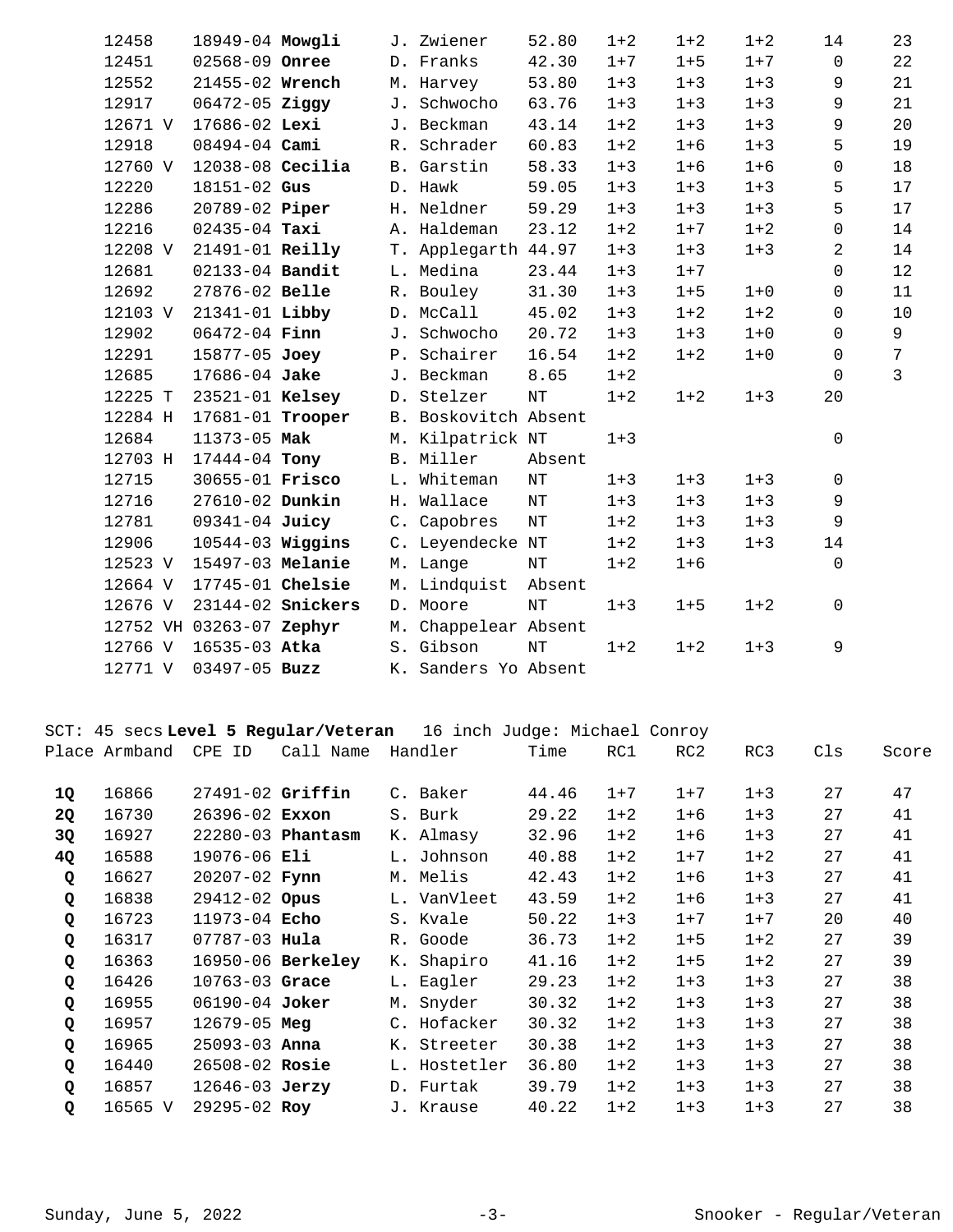| 12458   | 18949-04 Mowgli          |                         | J. Zwiener           | 52.80     | $1 + 2$ | $1 + 2$ | $1 + 2$ | 14           | 23             |
|---------|--------------------------|-------------------------|----------------------|-----------|---------|---------|---------|--------------|----------------|
| 12451   | 02568-09 Onree           |                         | D. Franks            | 42.30     | $1 + 7$ | $1 + 5$ | $1 + 7$ | $\mathbf 0$  | 22             |
| 12552   | 21455-02 Wrench          |                         | M. Harvey            | 53.80     | $1 + 3$ | $1 + 3$ | $1 + 3$ | 9            | 21             |
| 12917   | $06472 - 05$ Ziggy       |                         | J. Schwocho          | 63.76     | $1 + 3$ | $1 + 3$ | $1 + 3$ | 9            | 21             |
| 12671 V | 17686-02 Lexi            |                         | J. Beckman           | 43.14     | $1 + 2$ | $1 + 3$ | $1 + 3$ | 9            | 20             |
| 12918   | $08494 - 04$ Cami        |                         | R. Schrader          | 60.83     | $1 + 2$ | $1 + 6$ | $1 + 3$ | 5            | 19             |
| 12760 V | $12038-08$ Cecilia       |                         | B. Garstin           | 58.33     | $1 + 3$ | $1 + 6$ | $1 + 6$ | $\mathbf 0$  | 18             |
| 12220   | $18151 - 02$ Gus         |                         | D. Hawk              | 59.05     | $1 + 3$ | $1 + 3$ | $1 + 3$ | 5            | 17             |
| 12286   | 20789-02 Piper           |                         | H. Neldner           | 59.29     | $1 + 3$ | $1 + 3$ | $1 + 3$ | 5            | 17             |
| 12216   | $02435 - 04$ Taxi        |                         | A. Haldeman          | 23.12     | $1 + 2$ | $1 + 7$ | $1 + 2$ | $\mathsf{O}$ | 14             |
| 12208 V | $21491-01$ Reilly        |                         | T. Applegarth 44.97  |           | $1 + 3$ | $1 + 3$ | $1 + 3$ | 2            | 14             |
| 12681   | 02133-04 Bandit          |                         | L. Medina            | 23.44     | $1 + 3$ | $1 + 7$ |         | 0            | 12             |
| 12692   | 27876-02 Belle           |                         | R. Bouley            | 31.30     | $1 + 3$ | $1 + 5$ | $1 + 0$ | 0            | 11             |
| 12103 V | $21341 - 01$ Libby       |                         | D. McCall            | 45.02     | $1 + 3$ | $1 + 2$ | $1 + 2$ | $\mathbf 0$  | 10             |
| 12902   | $06472 - 04$ Finn        |                         | J. Schwocho          | 20.72     | $1 + 3$ | $1 + 3$ | $1 + 0$ | $\mathsf{O}$ | 9              |
| 12291   | 15877-05 Joey            |                         | P. Schairer          | 16.54     | $1 + 2$ | $1 + 2$ | $1 + 0$ | $\Omega$     | $\overline{7}$ |
| 12685   | 17686-04 Jake            |                         | J. Beckman           | 8.65      | $1 + 2$ |         |         | $\mathbf 0$  | $\mathbf{3}$   |
| 12225 T | 23521-01 Kelsey          |                         | D. Stelzer           | NT        | $1 + 2$ | $1 + 2$ | $1 + 3$ | 20           |                |
| 12284 H |                          | 17681-01 <b>Trooper</b> | B. Boskovitch Absent |           |         |         |         |              |                |
| 12684   | 11373-05 Mak             |                         | M. Kilpatrick NT     |           | $1 + 3$ |         |         | 0            |                |
| 12703 H | 17444-04 Tony            |                         | B. Miller            | Absent    |         |         |         |              |                |
| 12715   | 30655-01 <b>Frisco</b>   |                         | L. Whiteman          | NT        | $1 + 3$ | $1 + 3$ | $1 + 3$ | $\Omega$     |                |
| 12716   | 27610-02 Dunkin          |                         | H. Wallace           | $\rm{NT}$ | $1 + 3$ | $1 + 3$ | $1 + 3$ | 9            |                |
| 12781   | 09341-04 Juicy           |                         | C. Capobres          | NT        | $1 + 2$ | $1 + 3$ | $1 + 3$ | 9            |                |
| 12906   | $10544-03$ Wiggins       |                         | C. Leyendecke NT     |           | $1 + 2$ | $1 + 3$ | $1 + 3$ | 14           |                |
|         | 12523 V 15497-03 Melanie |                         | M. Lange             | NΤ        | $1 + 2$ | $1 + 6$ |         | $\mathbf 0$  |                |
| 12664 V | 17745-01 Chelsie         |                         | M. Lindquist Absent  |           |         |         |         |              |                |
| 12676 V |                          | 23144-02 Snickers       | D. Moore             | NT        | $1 + 3$ | $1 + 5$ | $1 + 2$ | $\Omega$     |                |
|         | 12752 VH 03263-07 Zephyr |                         | M. Chappelear Absent |           |         |         |         |              |                |
| 12766 V | 16535-03 Atka            |                         | S. Gibson            | $\rm{NT}$ | $1 + 2$ | $1 + 2$ | $1 + 3$ | 9            |                |
| 12771 V | $03497 - 05$ Buzz        |                         | K. Sanders Yo Absent |           |         |         |         |              |                |

SCT: 45 secs **Level 5 Regular/Veteran** 16 inch Judge: Michael Conroy

|             | Place Armband | <b>CPE</b><br>ID   | Call Name         | Handler      | Time  | RC1     | RC <sub>2</sub> | RC3     | Cls | Score |
|-------------|---------------|--------------------|-------------------|--------------|-------|---------|-----------------|---------|-----|-------|
| 1Q          | 16866         | $27491-02$ Griffin |                   | C. Baker     | 44.46 | $1 + 7$ | $1 + 7$         | $1 + 3$ | 27  | 47    |
| 2Q          | 16730         | 26396-02 Exxon     |                   | S. Burk      | 29.22 | $1 + 2$ | $1 + 6$         | $1 + 3$ | 27  | 41    |
| 3Q          | 16927         |                    | 22280-03 Phantasm | K. Almasy    | 32.96 | $1 + 2$ | $1 + 6$         | $1 + 3$ | 27  | 41    |
| 4Q          | 16588         | 19076-06 Eli       |                   | L. Johnson   | 40.88 | $1 + 2$ | $1 + 7$         | $1 + 2$ | 27  | 41    |
| Q           | 16627         | 20207-02 Fynn      |                   | M. Melis     | 42.43 | $1 + 2$ | $1 + 6$         | $1 + 3$ | 27  | 41    |
| Q           | 16838         | $29412 - 02$ Opus  |                   | L. VanVleet  | 43.59 | $1 + 2$ | $1 + 6$         | $1 + 3$ | 27  | 41    |
| Q           | 16723         | 11973-04 Echo      |                   | S. Kvale     | 50.22 | $1 + 3$ | $1 + 7$         | $1 + 7$ | 20  | 40    |
| Q           | 16317         | $07787 - 03$ Hula  |                   | R. Goode     | 36.73 | $1 + 2$ | $1 + 5$         | $1 + 2$ | 27  | 39    |
| Q           | 16363         |                    | 16950-06 Berkeley | K. Shapiro   | 41.16 | $1 + 2$ | $1 + 5$         | $1 + 2$ | 27  | 39    |
| Q           | 16426         | $10763 - 03$ Grace |                   | L. Eagler    | 29.23 | $1 + 2$ | $1 + 3$         | $1 + 3$ | 27  | 38    |
| Q           | 16955         | $06190 - 04$ Joker |                   | M. Snyder    | 30.32 | $1 + 2$ | $1 + 3$         | $1 + 3$ | 27  | 38    |
| Q           | 16957         | $12679 - 05$ Meg   |                   | C. Hofacker  | 30.32 | $1 + 2$ | $1 + 3$         | $1 + 3$ | 27  | 38    |
| Q           | 16965         | $25093 - 03$ Anna  |                   | K. Streeter  | 30.38 | $1 + 2$ | $1 + 3$         | $1 + 3$ | 27  | 38    |
| $\mathbf Q$ | 16440         | 26508-02 Rosie     |                   | L. Hostetler | 36.80 | $1 + 2$ | $1 + 3$         | $1 + 3$ | 27  | 38    |
| $\mathbf Q$ | 16857         | $12646 - 03$ Jerzy |                   | D. Furtak    | 39.79 | $1 + 2$ | $1 + 3$         | $1 + 3$ | 27  | 38    |
| Q           | 16565 V       | $29295 - 02$ Roy   |                   | J. Krause    | 40.22 | $1 + 2$ | $1 + 3$         | $1 + 3$ | 27  | 38    |
|             |               |                    |                   |              |       |         |                 |         |     |       |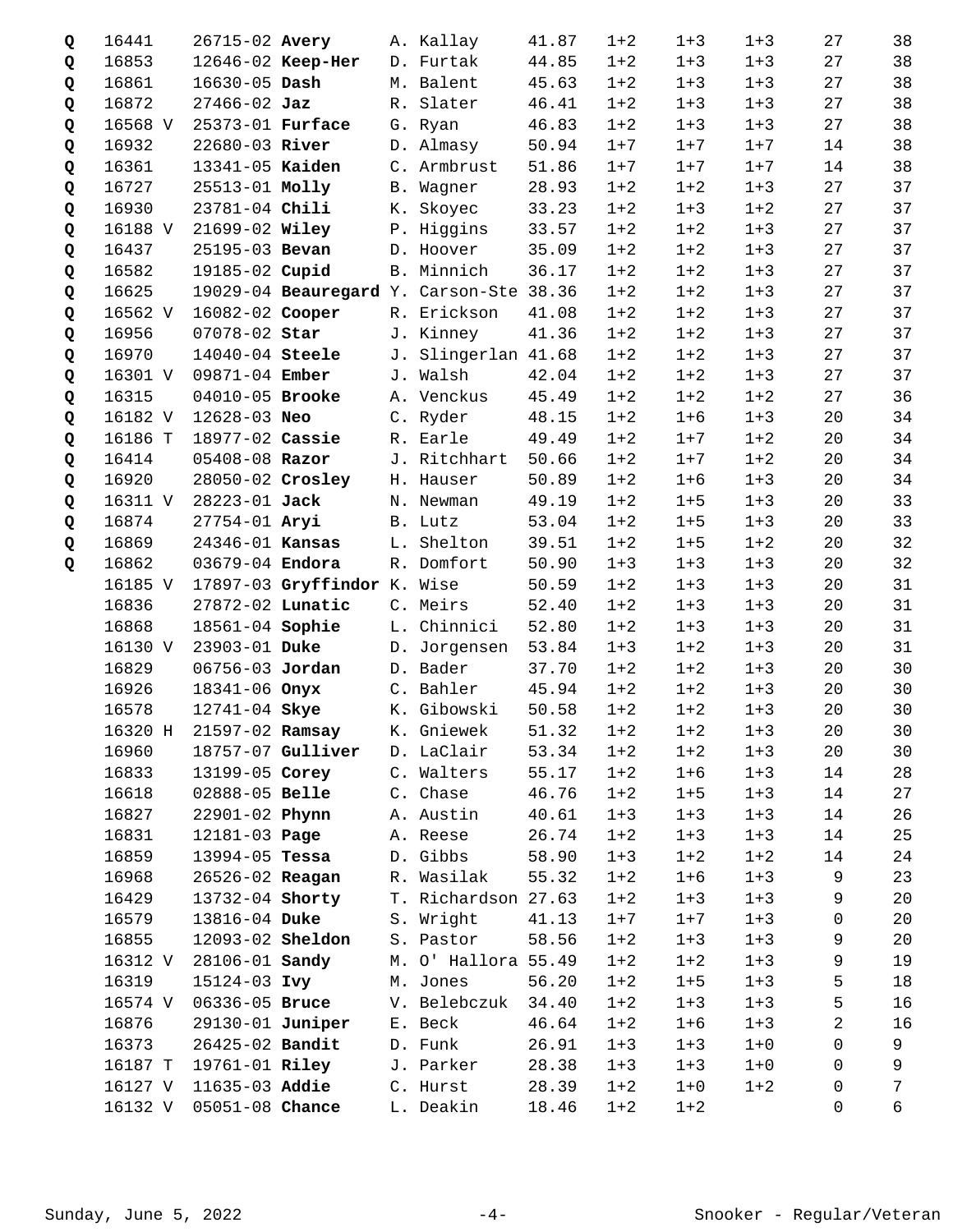| Q | 16441   | 26715-02 Avery          |                                         | A. Kallay           | 41.87 | $1 + 2$ | $1 + 3$ | $1 + 3$ | 27             | 38              |
|---|---------|-------------------------|-----------------------------------------|---------------------|-------|---------|---------|---------|----------------|-----------------|
| Q | 16853   |                         | 12646-02 Keep-Her                       | D. Furtak           | 44.85 | $1 + 2$ | $1 + 3$ | $1 + 3$ | 27             | 38              |
| Q | 16861   | 16630-05 Dash           |                                         | M. Balent           | 45.63 | $1 + 2$ | $1 + 3$ | $1 + 3$ | 27             | 38              |
| Q | 16872   | $27466 - 02$ Jaz        |                                         | R. Slater           | 46.41 | $1 + 2$ | $1 + 3$ | $1 + 3$ | 27             | 38              |
| Q | 16568 V | 25373-01 Furface        |                                         | G. Ryan             | 46.83 | $1 + 2$ | $1 + 3$ | $1 + 3$ | 27             | 38              |
| Q | 16932   | 22680-03 River          |                                         | D. Almasy           | 50.94 | $1 + 7$ | $1 + 7$ | $1 + 7$ | 14             | 38              |
| Q | 16361   | 13341-05 Kaiden         |                                         | C. Armbrust         | 51.86 | $1 + 7$ | $1 + 7$ | $1 + 7$ | 14             | 38              |
| Q | 16727   | 25513-01 Molly          |                                         | B. Wagner           | 28.93 | $1 + 2$ | $1 + 2$ | $1 + 3$ | 27             | 37              |
| Q | 16930   | 23781-04 Chili          |                                         | K. Skoyec           | 33.23 | $1 + 2$ | $1 + 3$ | $1 + 2$ | 27             | 37              |
| Q | 16188 V | 21699-02 Wiley          |                                         | P. Higgins          | 33.57 | $1 + 2$ | $1 + 2$ | $1 + 3$ | 27             | 37              |
| Q | 16437   | 25195-03 Bevan          |                                         | D. Hoover           | 35.09 | $1 + 2$ | $1 + 2$ | $1 + 3$ | 27             | 37              |
| Q | 16582   | 19185-02 Cupid          |                                         | B. Minnich          | 36.17 | $1 + 2$ | $1 + 2$ | $1 + 3$ | 27             | 37              |
| Q | 16625   |                         | 19029-04 Beauregard Y. Carson-Ste 38.36 |                     |       | $1 + 2$ | $1 + 2$ | $1 + 3$ | 27             | 37              |
| Q | 16562 V | 16082-02 Cooper         |                                         | R. Erickson         | 41.08 | $1 + 2$ | $1 + 2$ | $1 + 3$ | 27             | 37              |
| Q | 16956   | 07078-02 Star           |                                         | J. Kinney           | 41.36 | $1 + 2$ | $1 + 2$ | $1 + 3$ | 27             | 37              |
| Q | 16970   | 14040-04 Steele         |                                         | J. Slingerlan 41.68 |       | $1 + 2$ | $1 + 2$ | $1 + 3$ | 27             | 37              |
| Q | 16301 V | 09871-04 Ember          |                                         | J. Walsh            | 42.04 | $1 + 2$ | $1 + 2$ | $1 + 3$ | 27             | 37              |
| Q | 16315   | 04010-05 Brooke         |                                         | A. Venckus          | 45.49 | $1 + 2$ | $1 + 2$ | $1 + 2$ | 27             | 36              |
| Q | 16182 V | 12628-03 Neo            |                                         | C. Ryder            | 48.15 | $1 + 2$ | $1 + 6$ | $1 + 3$ | 20             | 34              |
| Q | 16186 T | 18977-02 Cassie         |                                         | R. Earle            | 49.49 | $1 + 2$ | $1 + 7$ | $1 + 2$ | 20             | 34              |
| Q | 16414   | 05408-08 Razor          |                                         | J. Ritchhart        | 50.66 | $1 + 2$ | $1 + 7$ | $1 + 2$ | 20             | 34              |
| Q | 16920   | 28050-02 Crosley        |                                         | H. Hauser           | 50.89 | $1 + 2$ | $1 + 6$ | $1 + 3$ | 20             | 34              |
| Q | 16311 V | 28223-01 Jack           |                                         | N. Newman           | 49.19 | $1 + 2$ | $1 + 5$ | $1 + 3$ | 20             | 33              |
| Q | 16874   | 27754-01 Aryi           |                                         | B. Lutz             | 53.04 | $1 + 2$ | $1 + 5$ | $1 + 3$ | 20             | 33              |
| Q | 16869   | 24346-01 Kansas         |                                         | L. Shelton          | 39.51 | $1 + 2$ | $1 + 5$ | $1 + 2$ | 20             | 32              |
| Q | 16862   | 03679-04 Endora         |                                         | R. Domfort          | 50.90 | $1 + 3$ | $1 + 3$ | $1 + 3$ | 20             | 32              |
|   | 16185 V |                         | 17897-03 Gryffindor K. Wise             |                     | 50.59 | $1 + 2$ | $1 + 3$ | $1 + 3$ | 20             | 31              |
|   | 16836   | 27872-02 Lunatic        |                                         | C. Meirs            | 52.40 | $1 + 2$ | $1 + 3$ | $1 + 3$ | 20             | 31              |
|   | 16868   | 18561-04 Sophie         |                                         | L. Chinnici         | 52.80 | $1 + 2$ | $1 + 3$ | $1 + 3$ | 20             | 31              |
|   | 16130 V | 23903-01 Duke           |                                         | D. Jorgensen        | 53.84 | $1 + 3$ | $1 + 2$ | $1 + 3$ | 20             | 31              |
|   | 16829   | 06756-03 Jordan         |                                         | D. Bader            | 37.70 | $1 + 2$ | $1 + 2$ | $1 + 3$ | 20             | 30              |
|   | 16926   | 18341-06 Onyx           |                                         | C. Bahler           | 45.94 | $1 + 2$ | $1 + 2$ | $1 + 3$ | 20             | 30              |
|   | 16578   | 12741-04 Skye           |                                         | K. Gibowski         | 50.58 | $1 + 2$ | $1 + 2$ | $1 + 3$ | 20             | 30              |
|   |         | 16320 H 21597-02 Ramsay |                                         | K. Gniewek          | 51.32 | $1 + 2$ | $1 + 2$ | $1 + 3$ | $20\,$         | 30 <sub>o</sub> |
|   | 16960   |                         | 18757-07 Gulliver                       | D. LaClair          | 53.34 | $1 + 2$ | $1 + 2$ | $1 + 3$ | 20             | 30              |
|   | 16833   | 13199-05 Corey          |                                         | C. Walters          | 55.17 | $1 + 2$ | $1 + 6$ | $1 + 3$ | 14             | 28              |
|   | 16618   | 02888-05 Belle          |                                         | C. Chase            | 46.76 | $1 + 2$ | $1 + 5$ | $1 + 3$ | 14             | 27              |
|   | 16827   | 22901-02 Phynn          |                                         | A. Austin           | 40.61 | $1 + 3$ | $1 + 3$ | $1 + 3$ | 14             | 26              |
|   | 16831   | 12181-03 <b>Page</b>    |                                         | A. Reese            | 26.74 | $1 + 2$ | $1 + 3$ | $1 + 3$ | 14             | 25              |
|   | 16859   | 13994-05 Tessa          |                                         | D. Gibbs            | 58.90 | $1 + 3$ | $1 + 2$ | $1 + 2$ | 14             | 24              |
|   | 16968   | 26526-02 Reagan         |                                         | R. Wasilak          | 55.32 | $1 + 2$ | $1 + 6$ | $1 + 3$ | 9              | 23              |
|   | 16429   | 13732-04 Shorty         |                                         | T. Richardson 27.63 |       | $1 + 2$ | $1 + 3$ | $1 + 3$ | 9              | 20              |
|   | 16579   | 13816-04 Duke           |                                         | S. Wright           | 41.13 | $1 + 7$ | $1 + 7$ | $1 + 3$ | 0              | 20              |
|   | 16855   | 12093-02 <b>Sheldon</b> |                                         | S. Pastor           | 58.56 | $1 + 2$ | $1 + 3$ | $1 + 3$ | 9              | 20              |
|   | 16312 V | 28106-01 <b>Sandy</b>   |                                         | M. O' Hallora 55.49 |       | $1 + 2$ | $1 + 2$ | $1 + 3$ | 9              | 19              |
|   | 16319   | 15124-03 Ivy            |                                         | M. Jones            | 56.20 | $1 + 2$ | $1 + 5$ | $1 + 3$ | 5              | 18              |
|   | 16574 V | 06336-05 Bruce          |                                         | V. Belebczuk        | 34.40 | $1 + 2$ | $1 + 3$ | $1 + 3$ | 5              | 16              |
|   | 16876   | 29130-01 Juniper        |                                         | E. Beck             | 46.64 | $1 + 2$ | $1 + 6$ | $1 + 3$ | $\overline{c}$ | 16              |
|   | 16373   | 26425-02 Bandit         |                                         | D. Funk             | 26.91 | $1 + 3$ | $1 + 3$ | $1 + 0$ | 0              | 9               |
|   | 16187 T | 19761-01 Riley          |                                         | J. Parker           | 28.38 | $1 + 3$ | $1 + 3$ | $1 + 0$ | 0              | 9               |
|   | 16127 V | 11635-03 Addie          |                                         | C. Hurst            | 28.39 | $1 + 2$ | $1 + 0$ | $1 + 2$ | 0              | $7\phantom{.}$  |
|   | 16132 V | 05051-08 Chance         |                                         | L. Deakin           | 18.46 | $1 + 2$ | $1 + 2$ |         | 0              | 6               |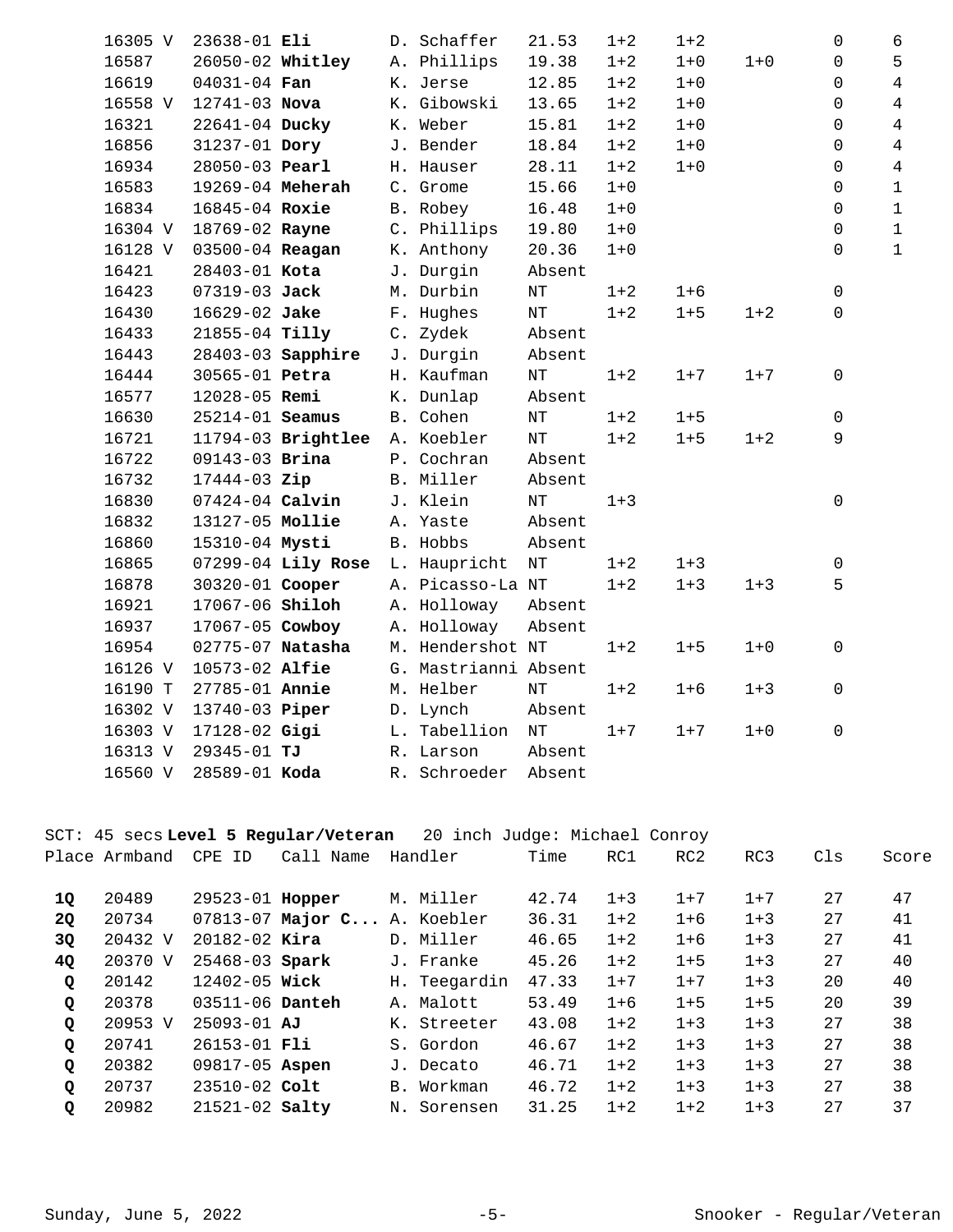| 16305 V | 23638-01 Eli     |                      | D. Schaffer          | 21.53     | $1 + 2$ | $1 + 2$ |         | 0 | 6              |
|---------|------------------|----------------------|----------------------|-----------|---------|---------|---------|---|----------------|
| 16587   | 26050-02 Whitley |                      | A. Phillips          | 19.38     | $1 + 2$ | $1 + 0$ | $1 + 0$ | 0 | 5              |
| 16619   | $04031 - 04$ Fan |                      | K. Jerse             | 12.85     | $1 + 2$ | $1 + 0$ |         | 0 | $\overline{4}$ |
| 16558 V | 12741-03 Nova    |                      | K. Gibowski          | 13.65     | $1 + 2$ | $1 + 0$ |         | 0 | $\overline{4}$ |
| 16321   | 22641-04 Ducky   |                      | K. Weber             | 15.81     | $1 + 2$ | $1 + 0$ |         | 0 | $\overline{4}$ |
| 16856   | 31237-01 Dory    |                      | J. Bender            | 18.84     | $1 + 2$ | $1 + 0$ |         | 0 | $\overline{4}$ |
| 16934   | 28050-03 Pearl   |                      | H. Hauser            | 28.11     | $1 + 2$ | $1 + 0$ |         | 0 | $\overline{4}$ |
| 16583   | 19269-04 Meherah |                      | C. Grome             | 15.66     | $1 + 0$ |         |         | 0 | $1\,$          |
| 16834   | 16845-04 Roxie   |                      | B. Robey             | 16.48     | $1 + 0$ |         |         | 0 | $\mathbf{1}$   |
| 16304 V | 18769-02 Rayne   |                      | C. Phillips          | 19.80     | $1 + 0$ |         |         | 0 | $\mathbf{1}$   |
| 16128 V | 03500-04 Reagan  |                      | K. Anthony           | 20.36     | $1 + 0$ |         |         | 0 | $\mathbf{1}$   |
| 16421   | 28403-01 Kota    |                      | J. Durgin            | Absent    |         |         |         |   |                |
| 16423   | 07319-03 Jack    |                      | M. Durbin            | $\rm{NT}$ | $1 + 2$ | $1 + 6$ |         | 0 |                |
| 16430   | 16629-02 Jake    |                      | F. Hughes            | $\rm{NT}$ | $1 + 2$ | $1 + 5$ | $1 + 2$ | 0 |                |
| 16433   | 21855-04 Tilly   |                      | C. Zydek             | Absent    |         |         |         |   |                |
| 16443   |                  | 28403-03 Sapphire    | J. Durgin            | Absent    |         |         |         |   |                |
| 16444   | 30565-01 Petra   |                      | H. Kaufman           | $\rm{NT}$ | $1 + 2$ | $1 + 7$ | $1 + 7$ | 0 |                |
| 16577   | 12028-05 Remi    |                      | K. Dunlap            | Absent    |         |         |         |   |                |
| 16630   | 25214-01 Seamus  |                      | B. Cohen             | $\rm{NT}$ | $1 + 2$ | $1 + 5$ |         | 0 |                |
| 16721   |                  | 11794-03 Brightlee   | A. Koebler           | $\rm{NT}$ | $1 + 2$ | $1 + 5$ | $1 + 2$ | 9 |                |
| 16722   | 09143-03 Brina   |                      | P. Cochran           | Absent    |         |         |         |   |                |
| 16732   | 17444-03 Zip     |                      | B. Miller            | Absent    |         |         |         |   |                |
| 16830   | 07424-04 Calvin  |                      | J. Klein             | $\rm{NT}$ | $1 + 3$ |         |         | 0 |                |
| 16832   | 13127-05 Mollie  |                      | A. Yaste             | Absent    |         |         |         |   |                |
| 16860   | 15310-04 Mysti   |                      | B. Hobbs             | Absent    |         |         |         |   |                |
| 16865   |                  | $07299-04$ Lily Rose | L. Haupricht         | $\rm{NT}$ | $1 + 2$ | $1 + 3$ |         | 0 |                |
| 16878   | 30320-01 Cooper  |                      | A. Picasso-La NT     |           | $1 + 2$ | $1 + 3$ | $1 + 3$ | 5 |                |
| 16921   | 17067-06 Shiloh  |                      | A. Holloway          | Absent    |         |         |         |   |                |
| 16937   | 17067-05 Cowboy  |                      | A. Holloway          | Absent    |         |         |         |   |                |
| 16954   | 02775-07 Natasha |                      | M. Hendershot NT     |           | $1 + 2$ | $1 + 5$ | $1 + 0$ | 0 |                |
| 16126 V | 10573-02 Alfie   |                      | G. Mastrianni Absent |           |         |         |         |   |                |
| 16190 T | 27785-01 Annie   |                      | M. Helber            | $\rm{NT}$ | $1 + 2$ | $1 + 6$ | $1 + 3$ | 0 |                |
| 16302 V | 13740-03 Piper   |                      | D. Lynch             | Absent    |         |         |         |   |                |
| 16303 V | 17128-02 Gigi    |                      | L. Tabellion         | $\rm{NT}$ | $1 + 7$ | $1 + 7$ | $1 + 0$ | 0 |                |
| 16313 V | 29345-01 TJ      |                      | R. Larson            | Absent    |         |         |         |   |                |
| 16560 V | 28589-01 Koda    |                      | R. Schroeder         | Absent    |         |         |         |   |                |

| 20 inch Judge: Michael Conroy<br>SCT: 45 secs Level 5 Regular/Veteran |               |                     |                               |    |              |       |         |                 |         |     |       |  |
|-----------------------------------------------------------------------|---------------|---------------------|-------------------------------|----|--------------|-------|---------|-----------------|---------|-----|-------|--|
|                                                                       | Place Armband | CPE ID              | Call Name                     |    | Handler      | Time  | RC1     | RC <sub>2</sub> | RC3     | C1s | Score |  |
|                                                                       |               |                     |                               |    |              |       |         |                 |         |     |       |  |
| 1Q                                                                    | 20489         | $29523 - 01$ Hopper |                               |    | M. Miller    | 42.74 | $1 + 3$ | $1 + 7$         | $1 + 7$ | 27  | 47    |  |
| <b>2Q</b>                                                             | 20734         |                     | $07813-07$ Major C A. Koebler |    |              | 36.31 | $1 + 2$ | $1 + 6$         | $1 + 3$ | 27  | 41    |  |
| 3Q                                                                    | 20432 V       | $20182 - 02$ Kira   |                               |    | D. Miller    | 46.65 | $1 + 2$ | $1 + 6$         | $1 + 3$ | 27  | 41    |  |
| 4Q                                                                    | 20370 V       | 25468-03 Spark      |                               |    | J. Franke    | 45.26 | $1 + 2$ | $1 + 5$         | $1 + 3$ | 27  | 40    |  |
| Q                                                                     | 20142         | $12402 - 05$ Wick   |                               |    | H. Teegardin | 47.33 | $1 + 7$ | $1 + 7$         | $1 + 3$ | 20  | 40    |  |
| Q                                                                     | 20378         | $03511 - 06$ Danteh |                               |    | A. Malott    | 53.49 | $1+6$   | $1 + 5$         | $1 + 5$ | 20  | 39    |  |
| Q                                                                     | 20953 V       | $25093 - 01$ AJ     |                               | К. | Streeter     | 43.08 | $1 + 2$ | $1 + 3$         | $1 + 3$ | 27  | 38    |  |
| Q                                                                     | 20741         | $26153 - 01$ Fli    |                               |    | S. Gordon    | 46.67 | $1 + 2$ | $1 + 3$         | $1 + 3$ | 27  | 38    |  |
| Q                                                                     | 20382         | 09817-05 Aspen      |                               | J. | Decato       | 46.71 | $1+2$   | $1 + 3$         | $1 + 3$ | 27  | 38    |  |
| Q                                                                     | 20737         | 23510-02 Colt       |                               |    | B. Workman   | 46.72 | $1+2$   | $1 + 3$         | $1 + 3$ | 27  | 38    |  |
| Q                                                                     | 20982         | $21521 - 02$ Salty  |                               | Ν. | Sorensen     | 31.25 | $1 + 2$ | $1 + 2$         | $1 + 3$ | 27  | 37    |  |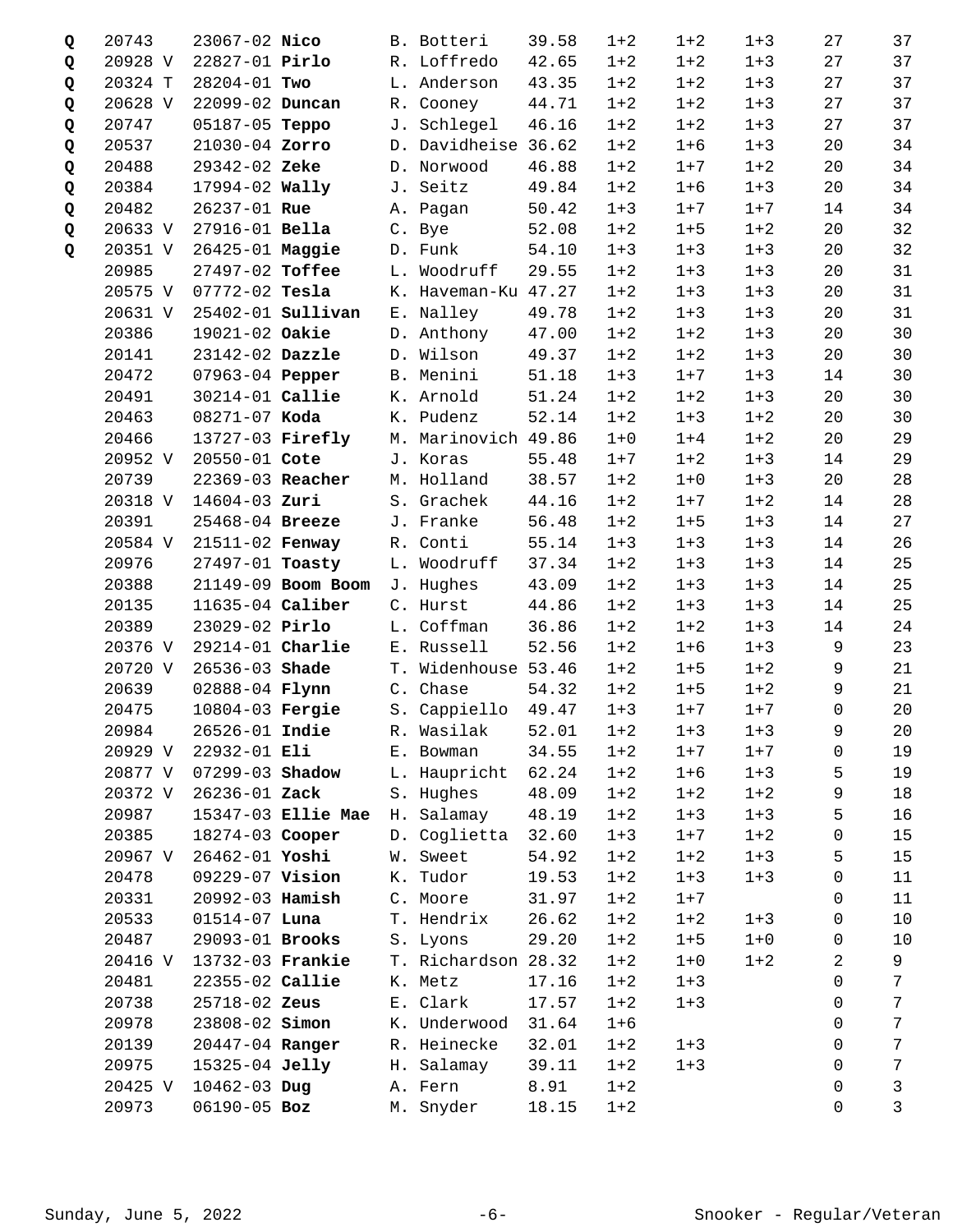| Q | 20743   | 23067-02 Nico          |                              | B. Botteri           | 39.58 | $1 + 2$ | $1 + 2$ | $1 + 3$ | 27          | 37              |
|---|---------|------------------------|------------------------------|----------------------|-------|---------|---------|---------|-------------|-----------------|
| Q | 20928 V | 22827-01 Pirlo         |                              | R. Loffredo          | 42.65 | $1 + 2$ | $1 + 2$ | $1 + 3$ | 27          | 37              |
| Q | 20324 T | 28204-01 Two           |                              | L. Anderson          | 43.35 | $1 + 2$ | $1 + 2$ | $1 + 3$ | 27          | 37              |
| Q | 20628 V | 22099-02 Duncan        |                              | R. Cooney            | 44.71 | $1 + 2$ | $1 + 2$ | $1 + 3$ | 27          | 37              |
| Q | 20747   | 05187-05 Teppo         |                              | J. Schlegel          | 46.16 | $1 + 2$ | $1 + 2$ | $1 + 3$ | 27          | 37              |
| Q | 20537   | 21030-04 Zorro         |                              | D. Davidheise 36.62  |       | $1 + 2$ | $1 + 6$ | $1 + 3$ | 20          | 34              |
| Q | 20488   | 29342-02 Zeke          |                              | D. Norwood           | 46.88 | $1 + 2$ | $1 + 7$ | $1 + 2$ | 20          | 34              |
| Q | 20384   | $17994 - 02$ Wally     |                              | J. Seitz             | 49.84 | $1 + 2$ | $1 + 6$ | $1 + 3$ | 20          | 34              |
| Q | 20482   | 26237-01 Rue           |                              | A. Pagan             | 50.42 | $1 + 3$ | $1 + 7$ | $1 + 7$ | 14          | 34              |
| Q | 20633 V | 27916-01 Bella         |                              | C. Bye               | 52.08 | $1 + 2$ | $1 + 5$ | $1 + 2$ | 20          | 32              |
|   | 20351 V | 26425-01 Maggie        |                              | D. Funk              | 54.10 | $1 + 3$ | $1 + 3$ | $1 + 3$ | 20          | 32              |
| Q | 20985   | 27497-02 Toffee        |                              | L. Woodruff          | 29.55 |         | $1 + 3$ | $1 + 3$ | 20          | 31              |
|   |         |                        |                              |                      |       | $1 + 2$ |         |         |             |                 |
|   | 20575 V | 07772-02 Tesla         |                              | K. Haveman-Ku 47.27  |       | $1 + 2$ | $1 + 3$ | $1 + 3$ | 20          | 31              |
|   | 20631 V |                        | 25402-01 <b>Sullivan</b>     | E. Nalley            | 49.78 | $1 + 2$ | $1 + 3$ | $1 + 3$ | 20          | 31              |
|   | 20386   | 19021-02 Oakie         |                              | D. Anthony           | 47.00 | $1 + 2$ | $1 + 2$ | $1 + 3$ | 20          | 30              |
|   | 20141   | 23142-02 Dazzle        |                              | D. Wilson            | 49.37 | $1 + 2$ | $1 + 2$ | $1 + 3$ | 20          | 30              |
|   | 20472   | 07963-04 Pepper        |                              | B. Menini            | 51.18 | $1 + 3$ | $1 + 7$ | $1 + 3$ | 14          | 30              |
|   | 20491   | 30214-01 Callie        |                              | K. Arnold            | 51.24 | $1 + 2$ | $1 + 2$ | $1 + 3$ | 20          | 30              |
|   | 20463   | 08271-07 Koda          |                              | K. Pudenz            | 52.14 | $1 + 2$ | $1 + 3$ | $1 + 2$ | 20          | 30              |
|   | 20466   |                        | 13727-03 Firefly             | M. Marinovich 49.86  |       | $1 + 0$ | $1 + 4$ | $1 + 2$ | 20          | 29              |
|   | 20952 V | 20550-01 Cote          |                              | J. Koras             | 55.48 | $1 + 7$ | $1 + 2$ | $1 + 3$ | 14          | 29              |
|   | 20739   | 22369-03 Reacher       |                              | M. Holland           | 38.57 | $1 + 2$ | $1 + 0$ | $1 + 3$ | 20          | 28              |
|   | 20318 V | $14604 - 03$ Zuri      |                              | S. Grachek           | 44.16 | $1 + 2$ | $1 + 7$ | $1 + 2$ | 14          | 28              |
|   | 20391   | 25468-04 Breeze        |                              | J. Franke            | 56.48 | $1 + 2$ | $1 + 5$ | $1 + 3$ | 14          | 27              |
|   | 20584 V | 21511-02 Fenway        |                              | R. Conti             | 55.14 | $1 + 3$ | $1 + 3$ | $1 + 3$ | 14          | 26              |
|   | 20976   | 27497-01 Toasty        |                              | L. Woodruff          | 37.34 | $1 + 2$ | $1 + 3$ | $1 + 3$ | 14          | 25              |
|   | 20388   |                        | 21149-09 Boom Boom J. Hughes |                      | 43.09 | $1 + 2$ | $1 + 3$ | $1 + 3$ | 14          | 25              |
|   | 20135   | $11635-04$ Caliber     |                              | C. Hurst             | 44.86 | $1 + 2$ | $1 + 3$ | $1 + 3$ | 14          | 25              |
|   | 20389   | 23029-02 Pirlo         |                              | L. Coffman           | 36.86 | $1 + 2$ | $1 + 2$ | $1 + 3$ | 14          | 24              |
|   | 20376 V | 29214-01 Charlie       |                              | E. Russell           | 52.56 | $1 + 2$ | $1 + 6$ | $1 + 3$ | 9           | 23              |
|   | 20720 V | 26536-03 Shade         |                              | T. Widenhouse 53.46  |       | $1 + 2$ | $1 + 5$ | $1 + 2$ | 9           | 21              |
|   | 20639   | 02888-04 <b>Flynn</b>  |                              | C. Chase             | 54.32 | $1 + 2$ | $1 + 5$ | $1 + 2$ | 9           | 21              |
|   | 20475   | 10804-03 <b>Fergie</b> |                              | S. Cappiello         | 49.47 | $1 + 3$ | $1 + 7$ | $1 + 7$ | $\mathbf 0$ | 20              |
|   | 20984   |                        | 26526-01 Indie               | R. Wasilak 52.01 1+2 |       |         | $1 + 3$ | $1 + 3$ | 9           | 20 <sub>o</sub> |
|   | 20929 V | 22932-01 Eli           |                              | E. Bowman            | 34.55 | $1 + 2$ | $1 + 7$ | $1 + 7$ | 0           | 19              |
|   | 20877 V | 07299-03 Shadow        |                              | L. Haupricht         | 62.24 | $1 + 2$ | $1 + 6$ | $1 + 3$ | 5           | 19              |
|   | 20372 V | 26236-01 Zack          |                              | S. Hughes            | 48.09 | $1 + 2$ | $1 + 2$ | $1 + 2$ | 9           | 18              |
|   | 20987   |                        | 15347-03 Ellie Mae           | H. Salamay           | 48.19 | $1 + 2$ | $1 + 3$ | $1 + 3$ | 5           | 16              |
|   | 20385   | 18274-03 Cooper        |                              | D. Coglietta         | 32.60 | $1 + 3$ | $1 + 7$ | $1 + 2$ | 0           | 15              |
|   | 20967 V | 26462-01 Yoshi         |                              | W. Sweet             | 54.92 | $1 + 2$ | $1 + 2$ | $1 + 3$ | 5           | 15              |
|   | 20478   | 09229-07 Vision        |                              | K. Tudor             | 19.53 | $1 + 2$ | $1 + 3$ | $1 + 3$ | 0           | 11              |
|   | 20331   | 20992-03 Hamish        |                              | C. Moore             | 31.97 | $1 + 2$ | $1 + 7$ |         | 0           | 11              |
|   | 20533   | $01514-07$ Luna        |                              | T. Hendrix           | 26.62 | $1 + 2$ | $1 + 2$ | $1 + 3$ | 0           | 10              |
|   | 20487   | 29093-01 Brooks        |                              | S. Lyons             | 29.20 | $1 + 2$ | $1 + 5$ | $1 + 0$ | 0           | $10$            |
|   | 20416 V | 13732-03 Frankie       |                              | T. Richardson 28.32  |       | $1 + 2$ | $1 + 0$ | $1 + 2$ | 2           | 9               |
|   | 20481   | 22355-02 Callie        |                              | K. Metz              | 17.16 | $1 + 2$ | $1 + 3$ |         | 0           | 7               |
|   | 20738   | 25718-02 Zeus          |                              | E. Clark             | 17.57 | $1 + 2$ | $1 + 3$ |         | 0           | 7               |
|   | 20978   | 23808-02 Simon         |                              | K. Underwood         | 31.64 | $1 + 6$ |         |         | $\Omega$    | 7               |
|   | 20139   | 20447-04 Ranger        |                              | R. Heinecke          | 32.01 | $1 + 2$ | $1 + 3$ |         | $\Omega$    | 7               |
|   | 20975   | 15325-04 Jelly         |                              | H. Salamay           | 39.11 | $1 + 2$ | $1 + 3$ |         | 0           | 7               |
|   | 20425 V | $10462 - 03$ Dug       |                              | A. Fern              | 8.91  | $1 + 2$ |         |         | 0           | 3               |
|   | 20973   | 06190-05 Boz           |                              | M. Snyder            | 18.15 | $1 + 2$ |         |         | 0           | 3               |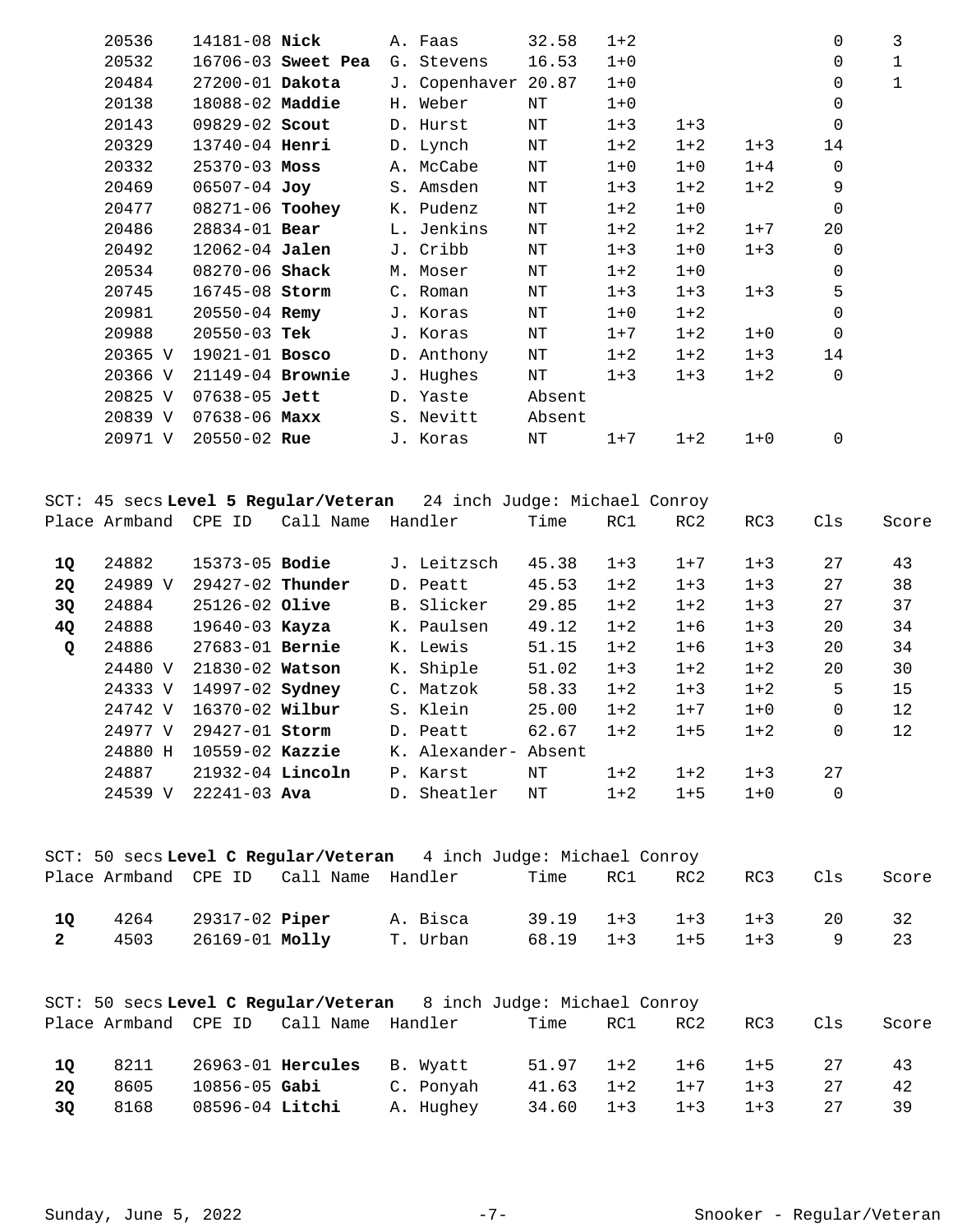|                | 20536   | 14181-08 Nick          |                                        | A. Faas                                                            | 32.58     | $1 + 2$ |                 |         | 0            | 3            |
|----------------|---------|------------------------|----------------------------------------|--------------------------------------------------------------------|-----------|---------|-----------------|---------|--------------|--------------|
|                | 20532   |                        | 16706-03 Sweet Pea                     | G. Stevens                                                         | 16.53     | $1 + 0$ |                 |         | 0            | $\mathbf{1}$ |
|                | 20484   | 27200-01 Dakota        |                                        | J. Copenhaver 20.87                                                |           | $1 + 0$ |                 |         | 0            | $\mathbf{1}$ |
|                | 20138   | 18088-02 Maddie        |                                        | H. Weber                                                           | NΤ        | $1 + 0$ |                 |         | 0            |              |
|                | 20143   | 09829-02 Scout         |                                        | D. Hurst                                                           | $\rm{NT}$ | $1 + 3$ | $1 + 3$         |         | $\Omega$     |              |
|                | 20329   | 13740-04 Henri         |                                        | D. Lynch                                                           | ΝT        | $1 + 2$ | $1 + 2$         | $1 + 3$ | 14           |              |
|                | 20332   | $25370 - 03$ Moss      |                                        | A. McCabe                                                          | $\rm{NT}$ | $1 + 0$ | $1 + 0$         | $1 + 4$ | $\mathsf{O}$ |              |
|                | 20469   | 06507-04 Joy           |                                        | S. Amsden                                                          | $\rm{NT}$ | $1 + 3$ | $1 + 2$         | $1 + 2$ | 9            |              |
|                | 20477   | 08271-06 Toohey        |                                        | K. Pudenz                                                          | ΝT        | $1 + 2$ | $1 + 0$         |         | 0            |              |
|                | 20486   | 28834-01 Bear          |                                        | L. Jenkins                                                         | ΝT        | $1 + 2$ | $1 + 2$         | $1 + 7$ | 20           |              |
|                | 20492   | 12062-04 Jalen         |                                        | J. Cribb                                                           | $\rm{NT}$ | $1 + 3$ | $1 + 0$         | $1 + 3$ | $\mathsf{O}$ |              |
|                | 20534   | 08270-06 Shack         |                                        | M. Moser                                                           | ΝT        | $1 + 2$ | $1 + 0$         |         | 0            |              |
|                | 20745   | 16745-08 Storm         |                                        | C. Roman                                                           | $\rm{NT}$ | $1 + 3$ | $1 + 3$         | $1 + 3$ | 5            |              |
|                | 20981   | $20550 - 04$ Remy      |                                        | J. Koras                                                           | ΝT        | $1 + 0$ | $1 + 2$         |         | $\mathbf 0$  |              |
|                | 20988   | $20550 - 03$ Tek       |                                        | J. Koras                                                           | $\rm{NT}$ | $1 + 7$ | $1 + 2$         | $1 + 0$ | 0            |              |
|                | 20365 V | 19021-01 Bosco         |                                        | D. Anthony                                                         | ΝT        | $1 + 2$ | $1 + 2$         | $1 + 3$ | 14           |              |
|                | 20366 V | 21149-04 Brownie       |                                        | J. Hughes                                                          | ΝT        | $1 + 3$ | $1 + 3$         | $1 + 2$ | $\mathbf 0$  |              |
|                |         | 20825 V 07638-05 Jett  |                                        | D. Yaste                                                           | Absent    |         |                 |         |              |              |
|                | 20839 V | 07638-06 Maxx          |                                        | S. Nevitt                                                          | Absent    |         |                 |         |              |              |
|                | 20971 V | $20550 - 02$ Rue       |                                        | J. Koras                                                           | $\rm{NT}$ | $1 + 7$ | $1 + 2$         | $1 + 0$ | 0            |              |
|                |         |                        |                                        | SCT: 45 secs Level 5 Regular/Veteran 24 inch Judge: Michael Conroy |           |         |                 |         |              |              |
|                |         |                        | Place Armband CPE ID Call Name Handler |                                                                    | Time      | RC1     | RC2             | RC3     | Cls          | Score        |
| 1Q             | 24882   | 15373-05 Bodie         |                                        | J. Leitzsch                                                        | 45.38     | $1 + 3$ | $1 + 7$         | $1 + 3$ | 27           | 43           |
| <b>2Q</b>      | 24989 V | 29427-02 Thunder       |                                        | D. Peatt                                                           | 45.53     | $1 + 2$ | $1 + 3$         | $1 + 3$ | 27           | 38           |
| 3Q             | 24884   | 25126-02 Olive         |                                        | B. Slicker                                                         | 29.85     | $1 + 2$ | $1 + 2$         | $1 + 3$ | 27           | 37           |
| 4Q             | 24888   | 19640-03 Kayza         |                                        | K. Paulsen                                                         | 49.12     | $1 + 2$ | $1 + 6$         | $1 + 3$ | 20           | 34           |
| Q              | 24886   | 27683-01 Bernie        |                                        | K. Lewis                                                           | 51.15     | $1 + 2$ | $1 + 6$         | $1 + 3$ | 20           | 34           |
|                | 24480 V | 21830-02 Watson        |                                        | K. Shiple                                                          | 51.02     | $1 + 3$ | $1 + 2$         | $1 + 2$ | 20           | 30           |
|                | 24333 V | 14997-02 <b>Sydney</b> |                                        | C. Matzok                                                          | 58.33     | $1 + 2$ | $1 + 3$         | $1 + 2$ | 5            | 15           |
|                | 24742 V | 16370-02 Wilbur        |                                        | S. Klein                                                           | 25.00     | $1 + 2$ | $1 + 7$         | $1 + 0$ | $\mathbf 0$  | 12           |
|                | 24977 V | 29427-01 Storm         |                                        | D. Peatt                                                           | 62.67     | $1 + 2$ | $1 + 5$         | $1 + 2$ | 0            | 12           |
|                | 24880 H | 10559-02 Kazzie        |                                        | K. Alexander- Absent                                               |           |         |                 |         |              |              |
|                | 24887   | 21932-04 Lincoln       |                                        | P. Karst                                                           | ΝT        | $1 + 2$ | $1 + 2$         | $1 + 3$ | 27           |              |
|                |         | 24539 V 22241-03 Ava   |                                        | D. Sheatler                                                        | ΝT        | $1 + 2$ | $1 + 5$         | $1 + 0$ | $\mathbf 0$  |              |
|                |         |                        |                                        | SCT: 50 secs Level C Regular/Veteran 4 inch Judge: Michael Conroy  |           |         |                 |         |              |              |
|                |         |                        | Place Armband CPE ID Call Name Handler |                                                                    | Time      | RC1     | RC2             | RC3     | Cls          | Score        |
| 1Q             | 4264    | 29317-02 <b>Piper</b>  |                                        | A. Bisca                                                           | 39.19     | $1 + 3$ | $1 + 3$         | $1 + 3$ | 20           | 32           |
| $\mathbf{2}^-$ | 4503    | 26169-01 Molly         |                                        | T. Urban                                                           | 68.19     | $1 + 3$ | $1 + 5$         | $1 + 3$ | 9            | 23           |
|                |         |                        |                                        | SCT: 50 secs Level C Regular/Veteran 8 inch Judge: Michael Conroy  |           |         |                 |         |              |              |
|                |         |                        | Place Armband CPE ID Call Name Handler |                                                                    | Time      | RC1     | RC <sub>2</sub> | RC3     | Cls          | Score        |
| <b>1Q</b>      | 8211    |                        | 26963-01 Hercules                      | B. Wyatt                                                           | 51.97     | $1 + 2$ | $1 + 6$         | $1 + 5$ | 27           | 43           |
| 2Q             | 8605    | $10856 - 05$ Gabi      |                                        | C. Ponyah                                                          | 41.63     | $1 + 2$ | $1 + 7$         | $1 + 3$ | 27           | 42           |
| 3Q             | 8168    | 08596-04 Litchi        |                                        | A. Hughey                                                          | 34.60     | $1 + 3$ | $1 + 3$         | $1 + 3$ | 27           | 39           |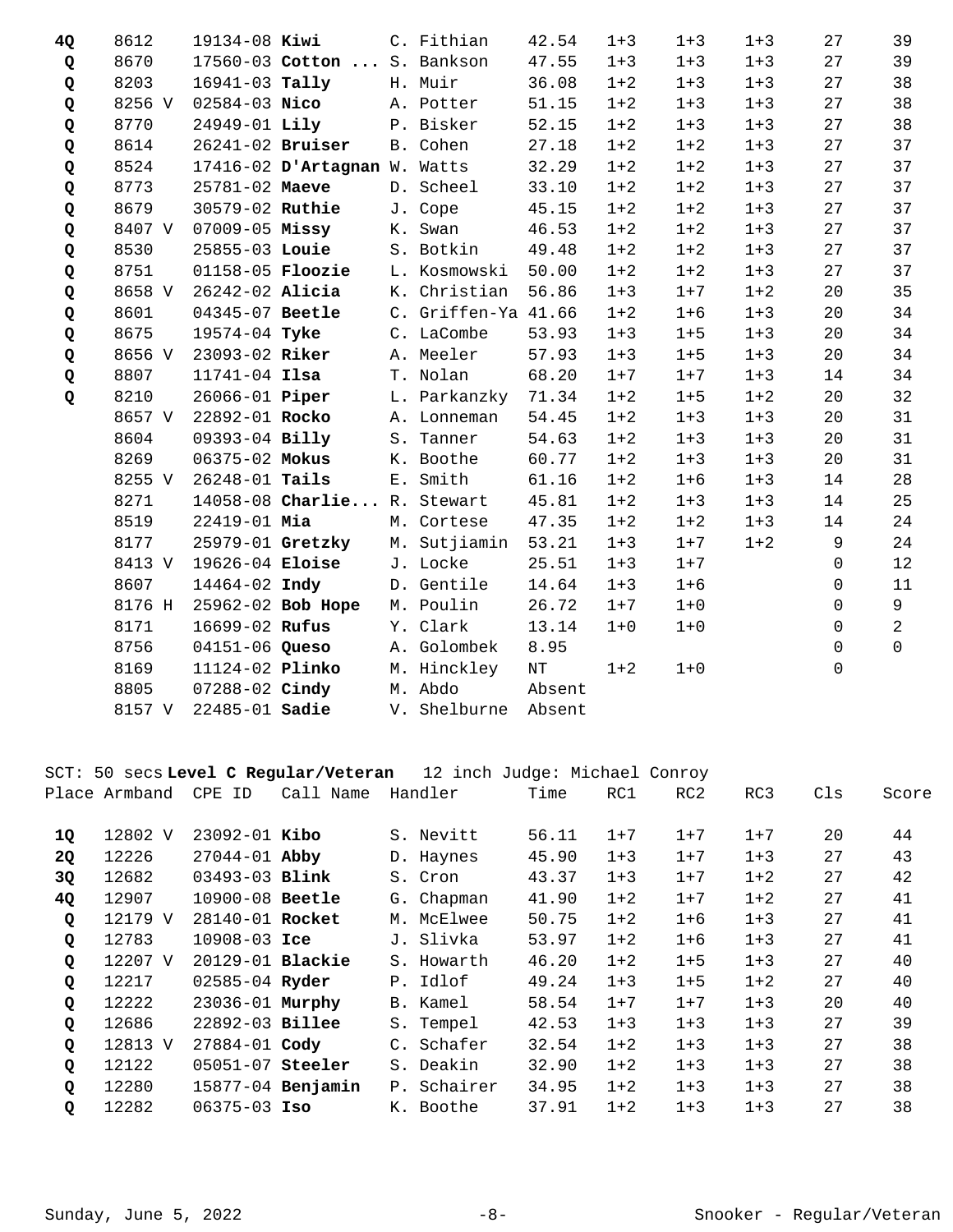| 4Q | 8612   | 19134-08 Kiwi         |                              | C. Fithian          | 42.54     | $1 + 3$ | $1 + 3$ | $1 + 3$ | 27           | 39             |
|----|--------|-----------------------|------------------------------|---------------------|-----------|---------|---------|---------|--------------|----------------|
| Q  | 8670   |                       | 17560-03 Cotton  S. Bankson  |                     | 47.55     | $1 + 3$ | $1 + 3$ | $1 + 3$ | 27           | 39             |
| Q  | 8203   | 16941-03 Tally        |                              | H. Muir             | 36.08     | $1 + 2$ | $1 + 3$ | $1 + 3$ | 27           | 38             |
| Q  | 8256 V | $02584 - 03$ Nico     |                              | A. Potter           | 51.15     | $1 + 2$ | $1 + 3$ | $1 + 3$ | 27           | 38             |
| Q  | 8770   | 24949-01 Lily         |                              | P. Bisker           | 52.15     | $1 + 2$ | $1 + 3$ | $1 + 3$ | 27           | 38             |
| Q  | 8614   | 26241-02 Bruiser      |                              | B. Cohen            | 27.18     | $1 + 2$ | $1 + 2$ | $1 + 3$ | 27           | 37             |
| Q  | 8524   |                       | 17416-02 D'Artagnan W. Watts |                     | 32.29     | $1 + 2$ | $1 + 2$ | $1 + 3$ | 27           | 37             |
| Q  | 8773   | 25781-02 Maeve        |                              | D. Scheel           | 33.10     | $1 + 2$ | $1 + 2$ | $1 + 3$ | 27           | 37             |
| Q  | 8679   | 30579-02 Ruthie       |                              | J. Cope             | 45.15     | $1 + 2$ | $1 + 2$ | $1 + 3$ | 27           | 37             |
| Q  | 8407 V | $07009 - 05$ Missy    |                              | K. Swan             | 46.53     | $1 + 2$ | $1 + 2$ | $1 + 3$ | 27           | 37             |
| Q  | 8530   | 25855-03 Louie        |                              | S. Botkin           | 49.48     | $1 + 2$ | $1 + 2$ | $1 + 3$ | 27           | 37             |
| Q  | 8751   | $01158-05$ Floozie    |                              | L. Kosmowski        | 50.00     | $1 + 2$ | $1 + 2$ | $1 + 3$ | 27           | 37             |
| Q  | 8658 V | 26242-02 Alicia       |                              | K. Christian        | 56.86     | $1 + 3$ | $1 + 7$ | $1 + 2$ | 20           | 35             |
| Q  | 8601   | 04345-07 Beetle       |                              | C. Griffen-Ya 41.66 |           | $1 + 2$ | $1 + 6$ | $1 + 3$ | 20           | 34             |
| Q  | 8675   | 19574-04 Tyke         |                              | C. LaCombe          | 53.93     | $1 + 3$ | $1 + 5$ | $1 + 3$ | 20           | 34             |
| Q  | 8656 V | 23093-02 Riker        |                              | A. Meeler           | 57.93     | $1 + 3$ | $1 + 5$ | $1 + 3$ | 20           | 34             |
| Q  | 8807   | $11741 - 04$ Ilsa     |                              | T. Nolan            | 68.20     | $1 + 7$ | $1 + 7$ | $1 + 3$ | 14           | 34             |
| Q  | 8210   | 26066-01 <b>Piper</b> |                              | L. Parkanzky 71.34  |           | $1 + 2$ | $1 + 5$ | $1 + 2$ | 20           | 32             |
|    | 8657 V | 22892-01 Rocko        |                              | A. Lonneman         | 54.45     | $1 + 2$ | $1 + 3$ | $1 + 3$ | 20           | 31             |
|    | 8604   | 09393-04 Billy        |                              | S. Tanner           | 54.63     | $1 + 2$ | $1 + 3$ | $1 + 3$ | 20           | 31             |
|    | 8269   | 06375-02 Mokus        |                              | K. Boothe           | 60.77     | $1 + 2$ | $1 + 3$ | $1 + 3$ | 20           | 31             |
|    | 8255 V | 26248-01 Tails        |                              | E. Smith            | 61.16     | $1 + 2$ | $1 + 6$ | $1 + 3$ | 14           | 28             |
|    | 8271   |                       | 14058-08 Charlie R. Stewart  |                     | 45.81     | $1 + 2$ | $1 + 3$ | $1 + 3$ | 14           | 25             |
|    | 8519   | 22419-01 Mia          |                              | M. Cortese          | 47.35     | $1 + 2$ | $1 + 2$ | $1 + 3$ | 14           | 24             |
|    | 8177   |                       | 25979-01 Gretzky             | M. Sutjiamin        | 53.21     | $1 + 3$ | $1 + 7$ | $1 + 2$ | 9            | 24             |
|    | 8413 V | 19626-04 Eloise       |                              | J. Locke            | 25.51     | $1 + 3$ | $1 + 7$ |         | $\mathbf 0$  | 12             |
|    | 8607   | 14464-02 Indy         |                              | D. Gentile          | 14.64     | $1 + 3$ | $1 + 6$ |         | $\mathbf 0$  | 11             |
|    | 8176 H |                       | 25962-02 Bob Hope            | M. Poulin           | 26.72     | $1 + 7$ | $1 + 0$ |         | $\Omega$     | 9              |
|    | 8171   | 16699-02 Rufus        |                              | Y. Clark            | 13.14     | $1 + 0$ | $1 + 0$ |         | $\mathbf 0$  | $\overline{2}$ |
|    | 8756   | 04151-06 Queso        |                              | A. Golombek         | 8.95      |         |         |         | 0            | $\Omega$       |
|    | 8169   | 11124-02 Plinko       |                              | M. Hinckley         | $\rm{NT}$ | $1 + 2$ | $1 + 0$ |         | $\mathsf{O}$ |                |
|    | 8805   | 07288-02 Cindy        |                              | M. Abdo             | Absent    |         |         |         |              |                |
|    | 8157 V | $22485 - 01$ Sadie    |                              | V. Shelburne        | Absent    |         |         |         |              |                |

SCT: 50 secs **Level C Regular/Veteran** 12 inch Judge: Michael Conroy

|              | Place Armband | CPE<br>ID           | Call Name         | Handler     | Time  | RC1     | RC <sub>2</sub> | RC3     | Cls | Score |
|--------------|---------------|---------------------|-------------------|-------------|-------|---------|-----------------|---------|-----|-------|
| 1Q           | 12802 V       | $23092 - 01$ Kibo   |                   | S. Nevitt   | 56.11 | $1 + 7$ | $1 + 7$         | $1 + 7$ | 20  | 44    |
| <b>2Q</b>    | 12226         | $27044 - 01$ Abby   |                   | D. Haynes   | 45.90 | $1 + 3$ | $1 + 7$         | $1 + 3$ | 27  | 43    |
| 3Q           | 12682         | 03493-03 Blink      |                   | S. Cron     | 43.37 | $1 + 3$ | $1 + 7$         | $1 + 2$ | 27  | 42    |
| 4Q           | 12907         | $10900 - 08$ Beetle |                   | G. Chapman  | 41.90 | $1 + 2$ | $1 + 7$         | $1 + 2$ | 27  | 41    |
| Q            | 12179 V       | 28140-01 Rocket     |                   | M. McElwee  | 50.75 | $1 + 2$ | $1 + 6$         | $1 + 3$ | 27  | 41    |
| Q            | 12783         | $10908 - 03$ Ice    |                   | J. Slivka   | 53.97 | $1 + 2$ | $1 + 6$         | $1 + 3$ | 27  | 41    |
| Q            | 12207 V       | $20129-01$ Blackie  |                   | S. Howarth  | 46.20 | $1 + 2$ | $1 + 5$         | $1 + 3$ | 27  | 40    |
| Q            | 12217         | 02585-04 Ryder      |                   | P. Idlof    | 49.24 | $1 + 3$ | $1 + 5$         | $1 + 2$ | 27  | 40    |
| Q            | 12222         | 23036-01 Murphy     |                   | B. Kamel    | 58.54 | $1 + 7$ | $1 + 7$         | $1 + 3$ | 20  | 40    |
| Q            | 12686         | 22892-03 Billee     |                   | S. Tempel   | 42.53 | $1 + 3$ | $1 + 3$         | $1 + 3$ | 27  | 39    |
| $\mathbf{Q}$ | 12813 V       | $27884 - 01$ Cody   |                   | C. Schafer  | 32.54 | $1 + 2$ | $1 + 3$         | $1 + 3$ | 27  | 38    |
| Q            | 12122         | $05051-07$ Steeler  |                   | S. Deakin   | 32.90 | $1+2$   | $1 + 3$         | $1 + 3$ | 27  | 38    |
| $\mathbf Q$  | 12280         |                     | 15877-04 Benjamin | P. Schairer | 34.95 | $1 + 2$ | $1 + 3$         | $1 + 3$ | 27  | 38    |
| Q            | 12282         | $06375 - 03$ Iso    |                   | K. Boothe   | 37.91 | $1 + 2$ | $1 + 3$         | $1 + 3$ | 27  | 38    |
|              |               |                     |                   |             |       |         |                 |         |     |       |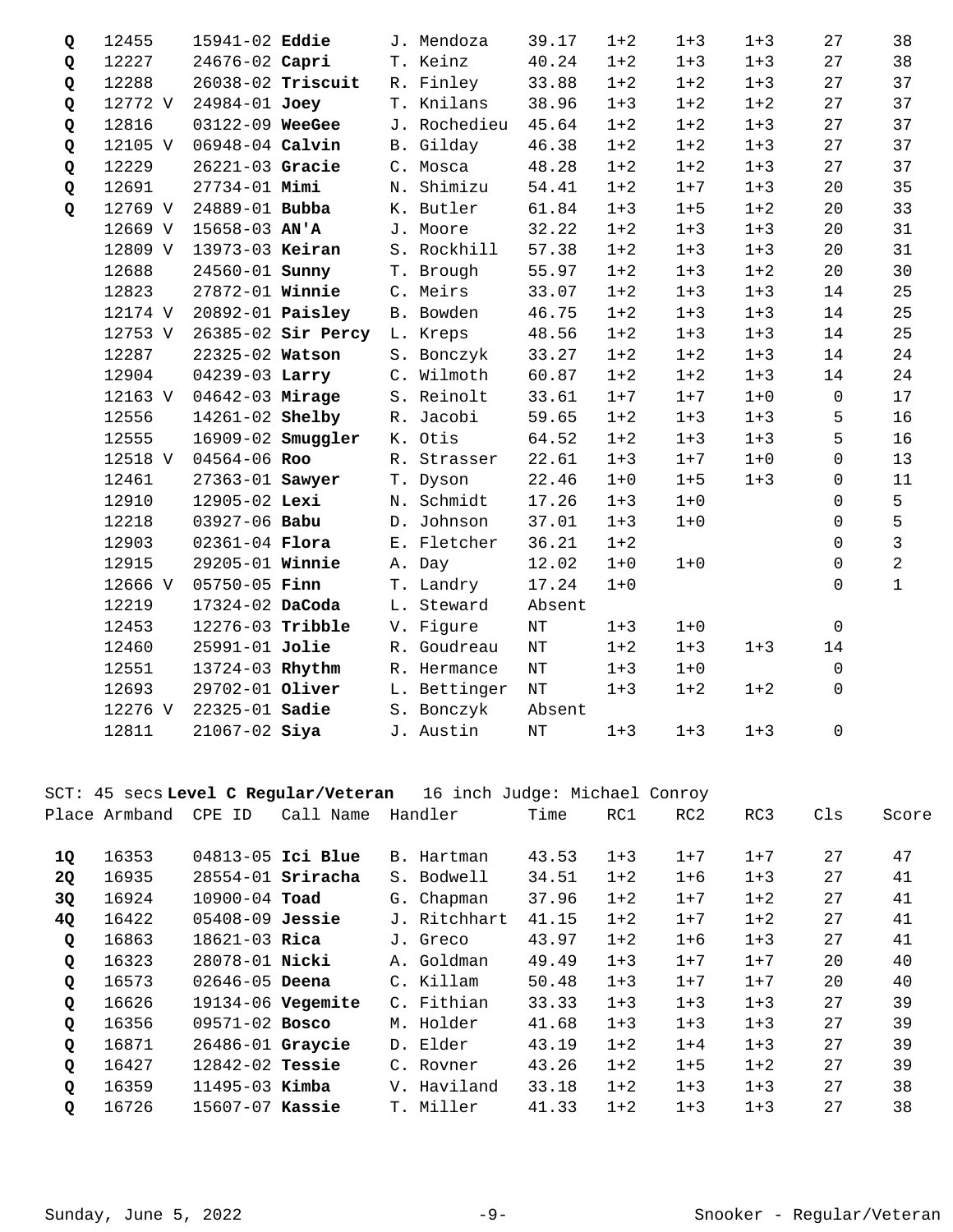| Q | 12455   | 15941-02 Eddie        |                             | J. Mendoza   | 39.17     | $1 + 2$ | $1 + 3$ | $1 + 3$ | 27           | 38             |
|---|---------|-----------------------|-----------------------------|--------------|-----------|---------|---------|---------|--------------|----------------|
| Q | 12227   | 24676-02 Capri        |                             | T. Keinz     | 40.24     | $1 + 2$ | $1 + 3$ | $1 + 3$ | 27           | 38             |
| Q | 12288   |                       | 26038-02 Triscuit           | R. Finley    | 33.88     | $1 + 2$ | $1 + 2$ | $1 + 3$ | 27           | 37             |
| Q | 12772 V | 24984-01 Joey         |                             | T. Knilans   | 38.96     | $1 + 3$ | $1 + 2$ | $1 + 2$ | 27           | 37             |
| Q | 12816   | 03122-09 WeeGee       |                             | J. Rochedieu | 45.64     | $1 + 2$ | $1 + 2$ | $1 + 3$ | 27           | 37             |
| Q | 12105 V | 06948-04 Calvin       |                             | B. Gilday    | 46.38     | $1 + 2$ | $1 + 2$ | $1 + 3$ | 27           | 37             |
| Q | 12229   | 26221-03 Gracie       |                             | C. Mosca     | 48.28     | $1 + 2$ | $1 + 2$ | $1 + 3$ | 27           | 37             |
| Q | 12691   | 27734-01 Mimi         |                             | N. Shimizu   | 54.41     | $1 + 2$ | $1 + 7$ | $1 + 3$ | 20           | 35             |
| Q | 12769 V | 24889-01 Bubba        |                             | K. Butler    | 61.84     | $1 + 3$ | $1 + 5$ | $1 + 2$ | 20           | 33             |
|   | 12669 V | $15658 - 03$ AN'A     |                             | J. Moore     | 32.22     | $1 + 2$ | $1 + 3$ | $1 + 3$ | 20           | 31             |
|   | 12809 V | 13973-03 Keiran       |                             | S. Rockhill  | 57.38     | $1 + 2$ | $1 + 3$ | $1 + 3$ | 20           | 31             |
|   | 12688   | 24560-01 <b>Sunny</b> |                             | T. Brough    | 55.97     | $1 + 2$ | $1 + 3$ | $1 + 2$ | 20           | 30             |
|   | 12823   | 27872-01 Winnie       |                             | C. Meirs     | 33.07     | $1 + 2$ | $1 + 3$ | $1 + 3$ | 14           | 25             |
|   | 12174 V |                       | 20892-01 <b>Paisley</b>     | B. Bowden    | 46.75     | $1 + 2$ | $1 + 3$ | $1 + 3$ | 14           | 25             |
|   | 12753 V |                       | 26385-02 Sir Percy L. Kreps |              | 48.56     | $1 + 2$ | $1 + 3$ | $1 + 3$ | 14           | 25             |
|   | 12287   | 22325-02 Watson       |                             | S. Bonczyk   | 33.27     | $1 + 2$ | $1 + 2$ | $1 + 3$ | 14           | 24             |
|   | 12904   | 04239-03 Larry        |                             | C. Wilmoth   | 60.87     | $1 + 2$ | $1 + 2$ | $1 + 3$ | 14           | 24             |
|   | 12163 V | 04642-03 Mirage       |                             | S. Reinolt   | 33.61     | $1 + 7$ | $1 + 7$ | $1 + 0$ | $\mathsf 0$  | 17             |
|   | 12556   | 14261-02 Shelby       |                             | R. Jacobi    | 59.65     | $1 + 2$ | $1 + 3$ | $1 + 3$ | 5            | 16             |
|   | 12555   |                       | 16909-02 Smuggler           | K. Otis      | 64.52     | $1 + 2$ | $1 + 3$ | $1 + 3$ | 5            | 16             |
|   | 12518 V | 04564-06 Roo          |                             | R. Strasser  | 22.61     | $1 + 3$ | $1 + 7$ | $1 + 0$ | $\mathbf 0$  | 13             |
|   | 12461   | 27363-01 Sawyer       |                             | T. Dyson     | 22.46     | $1 + 0$ | $1 + 5$ | $1 + 3$ | $\mathbf 0$  | 11             |
|   | 12910   | 12905-02 Lexi         |                             | N. Schmidt   | 17.26     | $1 + 3$ | $1+0$   |         | $\mathsf{O}$ | 5              |
|   | 12218   | 03927-06 Babu         |                             | D. Johnson   | 37.01     | $1 + 3$ | $1 + 0$ |         | $\Omega$     | 5              |
|   | 12903   | 02361-04 Flora        |                             | E. Fletcher  | 36.21     | $1 + 2$ |         |         | $\Omega$     | $\overline{3}$ |
|   | 12915   | 29205-01 Winnie       |                             | A. Day       | 12.02     | $1 + 0$ | $1 + 0$ |         | 0            | $\overline{a}$ |
|   | 12666 V | 05750-05 Finn         |                             | T. Landry    | 17.24     | $1 + 0$ |         |         | $\mathbf 0$  | $\mathbf{1}$   |
|   | 12219   | 17324-02 DaCoda       |                             | L. Steward   | Absent    |         |         |         |              |                |
|   | 12453   | 12276-03 Tribble      |                             | V. Figure    | $\rm{NT}$ | $1 + 3$ | $1 + 0$ |         | $\mathbf 0$  |                |
|   | 12460   | 25991-01 Jolie        |                             | R. Goudreau  | $\rm{NT}$ | $1 + 2$ | $1 + 3$ | $1 + 3$ | 14           |                |
|   | 12551   | 13724-03 Rhythm       |                             | R. Hermance  | $\rm{NT}$ | $1 + 3$ | $1 + 0$ |         | $\mathbf 0$  |                |
|   | 12693   | 29702-01 Oliver       |                             | L. Bettinger | $\rm{NT}$ | $1 + 3$ | $1 + 2$ | $1 + 2$ | $\Omega$     |                |
|   | 12276 V | 22325-01 Sadie        |                             | S. Bonczyk   | Absent    |         |         |         |              |                |
|   | 12811   | $21067 - 02$ Siya     |                             | J. Austin    | $\rm{NT}$ | $1 + 3$ | $1 + 3$ | $1 + 3$ | 0            |                |

## SCT: 45 secs **Level C Regular/Veteran** 16 inch Judge: Michael Conroy

|              | Place Armband | <b>CPE</b><br>ID    | Call<br>Name        | Handler      | Time  | RC1     | RC <sub>2</sub> | RC3     | Cls | Score |
|--------------|---------------|---------------------|---------------------|--------------|-------|---------|-----------------|---------|-----|-------|
| 1Q           | 16353         |                     | 04813-05 Ici Blue   | B. Hartman   | 43.53 | $1 + 3$ | $1 + 7$         | $1 + 7$ | 27  | 47    |
| <b>20</b>    | 16935         |                     | $28554-01$ Sriracha | S. Bodwell   | 34.51 | $1 + 2$ | $1 + 6$         | $1 + 3$ | 27  | 41    |
| 3Q           | 16924         | 10900-04 Toad       |                     | G. Chapman   | 37.96 | $1 + 2$ | $1 + 7$         | $1 + 2$ | 27  | 41    |
| 4Q           | 16422         | $05408 - 09$ Jessie |                     | J. Ritchhart | 41.15 | $1 + 2$ | $1 + 7$         | $1 + 2$ | 27  | 41    |
| Q            | 16863         | $18621 - 03$ Rica   |                     | J. Greco     | 43.97 | $1 + 2$ | $1 + 6$         | $1 + 3$ | 27  | 41    |
| Q            | 16323         | 28078-01 Nicki      |                     | A. Goldman   | 49.49 | $1 + 3$ | $1 + 7$         | $1 + 7$ | 20  | 40    |
| $\mathbf{Q}$ | 16573         | $02646 - 05$ Deena  |                     | C. Killam    | 50.48 | $1 + 3$ | $1 + 7$         | $1 + 7$ | 20  | 40    |
| Q            | 16626         |                     | $19134-06$ Vegemite | C. Fithian   | 33.33 | $1 + 3$ | $1 + 3$         | $1 + 3$ | 27  | 39    |
| $\mathbf{Q}$ | 16356         | $09571 - 02$ Bosco  |                     | M. Holder    | 41.68 | $1 + 3$ | $1 + 3$         | $1 + 3$ | 27  | 39    |
| Q            | 16871         | 26486-01 Graycie    |                     | D. Elder     | 43.19 | $1 + 2$ | $1 + 4$         | $1 + 3$ | 27  | 39    |
| $\mathbf Q$  | 16427         | $12842 - 02$ Tessie |                     | C. Royner    | 43.26 | $1 + 2$ | $1 + 5$         | $1 + 2$ | 27  | 39    |
| $\mathbf Q$  | 16359         | $11495 - 03$ Kimba  |                     | V. Haviland  | 33.18 | $1 + 2$ | $1 + 3$         | $1 + 3$ | 27  | 38    |
| Q            | 16726         | 15607-07 Kassie     |                     | T. Miller    | 41.33 | $1 + 2$ | $1 + 3$         | $1 + 3$ | 27  | 38    |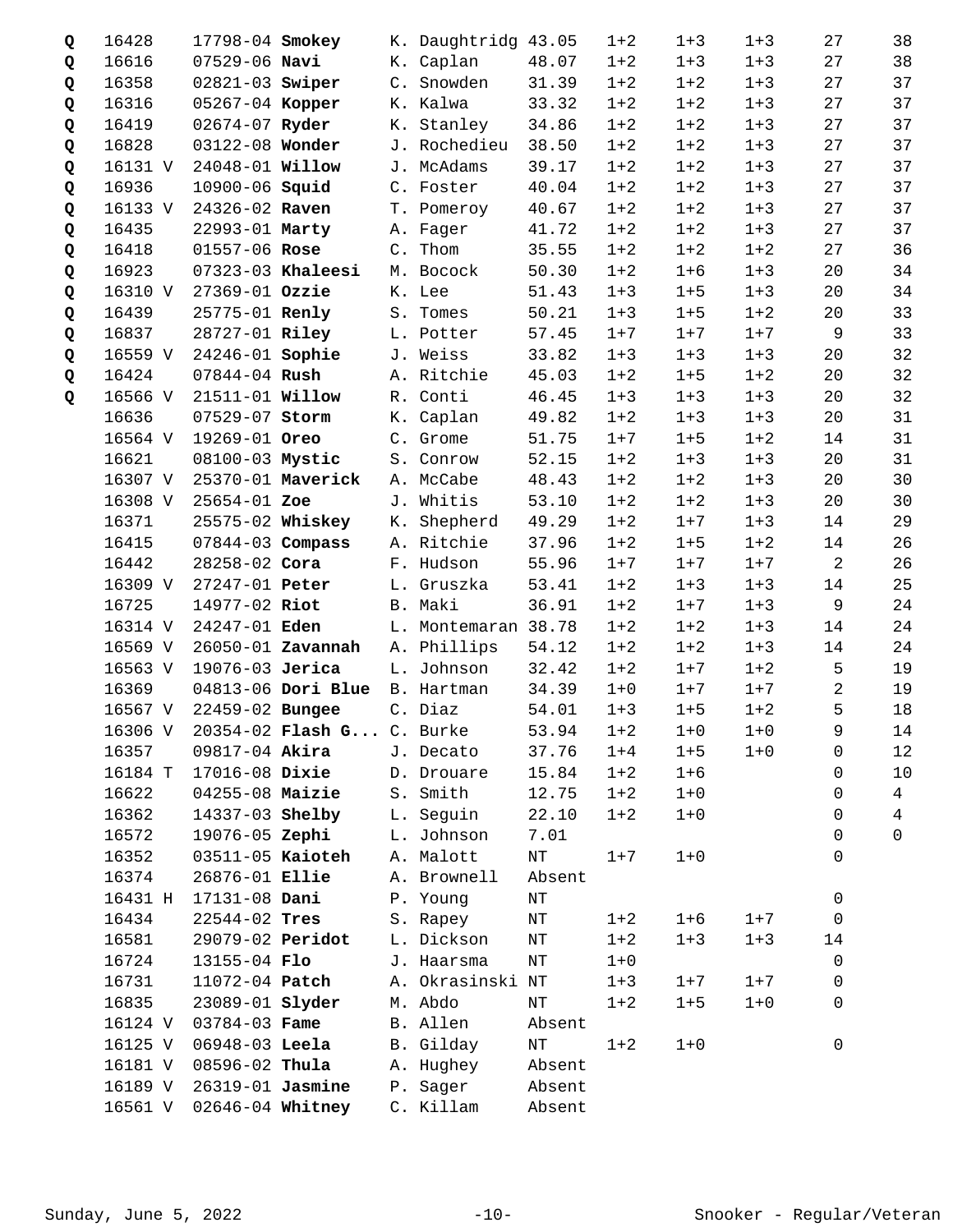| Q | 16428   | 17798-04 Smokey        |                                   | K. Daughtridg 43.05 |           | $1 + 2$ | $1 + 3$ | $1 + 3$ | 27             | 38             |
|---|---------|------------------------|-----------------------------------|---------------------|-----------|---------|---------|---------|----------------|----------------|
| Q | 16616   | $07529 - 06$ Navi      |                                   | K. Caplan           | 48.07     | $1 + 2$ | $1 + 3$ | $1 + 3$ | 27             | 38             |
| Q | 16358   | 02821-03 Swiper        |                                   | C. Snowden          | 31.39     | $1 + 2$ | $1 + 2$ | $1 + 3$ | 27             | 37             |
| Q | 16316   | 05267-04 Kopper        |                                   | K. Kalwa            | 33.32     | $1 + 2$ | $1 + 2$ | $1 + 3$ | 27             | 37             |
| Q | 16419   | 02674-07 Ryder         |                                   | K. Stanley          | 34.86     | $1 + 2$ | $1 + 2$ | $1 + 3$ | 27             | 37             |
| Q | 16828   | 03122-08 Wonder        |                                   | J. Rochedieu        | 38.50     | $1 + 2$ | $1 + 2$ | $1 + 3$ | 27             | 37             |
| Q | 16131 V | 24048-01 <b>Willow</b> |                                   | J. McAdams          | 39.17     | $1 + 2$ | $1 + 2$ | $1 + 3$ | 27             | 37             |
| Q | 16936   | 10900-06 Squid         |                                   | C. Foster           | 40.04     | $1 + 2$ | $1 + 2$ | $1 + 3$ | 27             | 37             |
| Q | 16133 V | 24326-02 Raven         |                                   | T. Pomeroy          | 40.67     | $1 + 2$ | $1 + 2$ | $1 + 3$ | 27             | 37             |
| Q | 16435   | 22993-01 Marty         |                                   | A. Fager            | 41.72     | $1 + 2$ | $1 + 2$ | $1 + 3$ | 27             | 37             |
| Q | 16418   | 01557-06 Rose          |                                   | C. Thom             | 35.55     | $1 + 2$ | $1 + 2$ | $1 + 2$ | 27             | 36             |
| Q | 16923   |                        | 07323-03 Khaleesi                 | M. Bocock           | 50.30     | $1 + 2$ | $1 + 6$ | $1 + 3$ | 20             | 34             |
| Q | 16310 V | 27369-01 Ozzie         |                                   | K. Lee              | 51.43     | $1 + 3$ | $1 + 5$ | $1 + 3$ | 20             | 34             |
| Q | 16439   | 25775-01 Renly         |                                   | S. Tomes            | 50.21     | $1 + 3$ | $1 + 5$ | $1 + 2$ | 20             | 33             |
| Q | 16837   | 28727-01 Riley         |                                   | L. Potter           | 57.45     | $1 + 7$ | $1 + 7$ | $1 + 7$ | 9              | 33             |
| Q | 16559 V | 24246-01 Sophie        |                                   | J. Weiss            | 33.82     | $1 + 3$ | $1 + 3$ | $1 + 3$ | 20             | 32             |
| Q | 16424   | $07844 - 04$ Rush      |                                   | A. Ritchie          | 45.03     | $1 + 2$ | $1 + 5$ | $1 + 2$ | 20             | 32             |
| Q | 16566 V | 21511-01 <b>Willow</b> |                                   | R. Conti            | 46.45     | $1 + 3$ | $1 + 3$ | $1 + 3$ | 20             | 32             |
|   | 16636   | 07529-07 Storm         |                                   | K. Caplan           | 49.82     | $1 + 2$ | $1 + 3$ | $1 + 3$ | 20             | 31             |
|   | 16564 V | 19269-01 Oreo          |                                   | C. Grome            | 51.75     | $1 + 7$ | $1 + 5$ | $1 + 2$ | 14             | 31             |
|   | 16621   | 08100-03 Mystic        |                                   | S. Conrow           | 52.15     | $1 + 2$ | $1 + 3$ | $1 + 3$ | 20             | 31             |
|   | 16307 V |                        | 25370-01 Maverick                 | A. McCabe           | 48.43     | $1 + 2$ | $1 + 2$ | $1 + 3$ | 20             | 30             |
|   | 16308 V | 25654-01 Zoe           |                                   | J. Whitis           | 53.10     | $1 + 2$ | $1 + 2$ | $1 + 3$ | 20             | 30             |
|   | 16371   |                        | 25575-02 Whiskey                  | K. Shepherd         | 49.29     | $1 + 2$ | $1 + 7$ | $1 + 3$ | 14             | 29             |
|   | 16415   | $07844 - 03$ Compass   |                                   | A. Ritchie          | 37.96     | $1 + 2$ | $1 + 5$ | $1 + 2$ | 14             | 26             |
|   | 16442   | 28258-02 Cora          |                                   | F. Hudson           | 55.96     | $1 + 7$ | $1 + 7$ | $1 + 7$ | 2              | 26             |
|   | 16309 V | 27247-01 Peter         |                                   | L. Gruszka          | 53.41     | $1 + 2$ | $1 + 3$ | $1 + 3$ | 14             | 25             |
|   | 16725   | 14977-02 Riot          |                                   | B. Maki             | 36.91     | $1 + 2$ | $1 + 7$ | $1 + 3$ | 9              | 24             |
|   | 16314 V | 24247-01 Eden          |                                   | L. Montemaran 38.78 |           | $1 + 2$ | $1 + 2$ | $1 + 3$ | 14             | 24             |
|   | 16569 V |                        | 26050-01 Zavannah                 | A. Phillips         | 54.12     | $1 + 2$ | $1 + 2$ | $1 + 3$ | 14             | 24             |
|   | 16563 V | 19076-03 Jerica        |                                   | L. Johnson          | 32.42     | $1 + 2$ | $1 + 7$ | $1 + 2$ | 5              | 19             |
|   | 16369   |                        | 04813-06 Dori Blue B. Hartman     |                     | 34.39     | $1 + 0$ | $1 + 7$ | $1 + 7$ | $\overline{a}$ | 19             |
|   | 16567 V | 22459-02 Bungee        |                                   | C. Diaz             | 54.01     | $1 + 3$ | $1 + 5$ | $1 + 2$ | 5              | 18             |
|   |         |                        | 16306 V 20354-02 Flash G C. Burke |                     | 53.94     | $1 + 2$ | $1 + 0$ | $1 + 0$ | 9              | 14             |
|   | 16357   | 09817-04 Akira         |                                   | J. Decato           | 37.76     | $1 + 4$ | $1 + 5$ | $1 + 0$ | 0              | 12             |
|   | 16184 T | 17016-08 Dixie         |                                   | D. Drouare          | 15.84     | $1 + 2$ | $1 + 6$ |         | $\Omega$       | 10             |
|   | 16622   | 04255-08 Maizie        |                                   | S. Smith            | 12.75     | $1 + 2$ | $1 + 0$ |         | 0              | $\overline{4}$ |
|   | 16362   | 14337-03 Shelby        |                                   | L. Seguin           | 22.10     | $1 + 2$ | $1 + 0$ |         | 0              | $\overline{4}$ |
|   | 16572   | 19076-05 Zephi         |                                   | L. Johnson          | 7.01      |         |         |         | 0              | $\Omega$       |
|   | 16352   | 03511-05 Kaioteh       |                                   | A. Malott           | $\rm{NT}$ | $1 + 7$ | $1 + 0$ |         | 0              |                |
|   | 16374   | 26876-01 Ellie         |                                   | A. Brownell         | Absent    |         |         |         |                |                |
|   | 16431 H | 17131-08 Dani          |                                   | P. Young            | $\rm{NT}$ |         |         |         | $\mathbf 0$    |                |
|   | 16434   | 22544-02 Tres          |                                   | S. Rapey            | ΝT        | $1 + 2$ | $1 + 6$ | $1 + 7$ | 0              |                |
|   | 16581   | 29079-02 Peridot       |                                   | L. Dickson          | ΝT        | $1 + 2$ | $1 + 3$ | $1 + 3$ | 14             |                |
|   | 16724   | 13155-04 Flo           |                                   | J. Haarsma          | $\rm{NT}$ | $1 + 0$ |         |         | $\mathbf 0$    |                |
|   | 16731   | 11072-04 Patch         |                                   | A. Okrasinski NT    |           | $1 + 3$ | $1 + 7$ | $1 + 7$ | 0              |                |
|   | 16835   | 23089-01 <b>Slyder</b> |                                   | M. Abdo             | NΤ        | $1 + 2$ | $1 + 5$ | $1 + 0$ | 0              |                |
|   | 16124 V | 03784-03 Fame          |                                   | B. Allen            | Absent    |         |         |         |                |                |
|   | 16125 V | 06948-03 Leela         |                                   | B. Gilday           | $\rm{NT}$ | $1 + 2$ | $1 + 0$ |         | 0              |                |
|   | 16181 V | 08596-02 Thula         |                                   | A. Hughey           | Absent    |         |         |         |                |                |
|   | 16189 V | 26319-01 Jasmine       |                                   | P. Sager            | Absent    |         |         |         |                |                |
|   | 16561 V | 02646-04 Whitney       |                                   | C. Killam           | Absent    |         |         |         |                |                |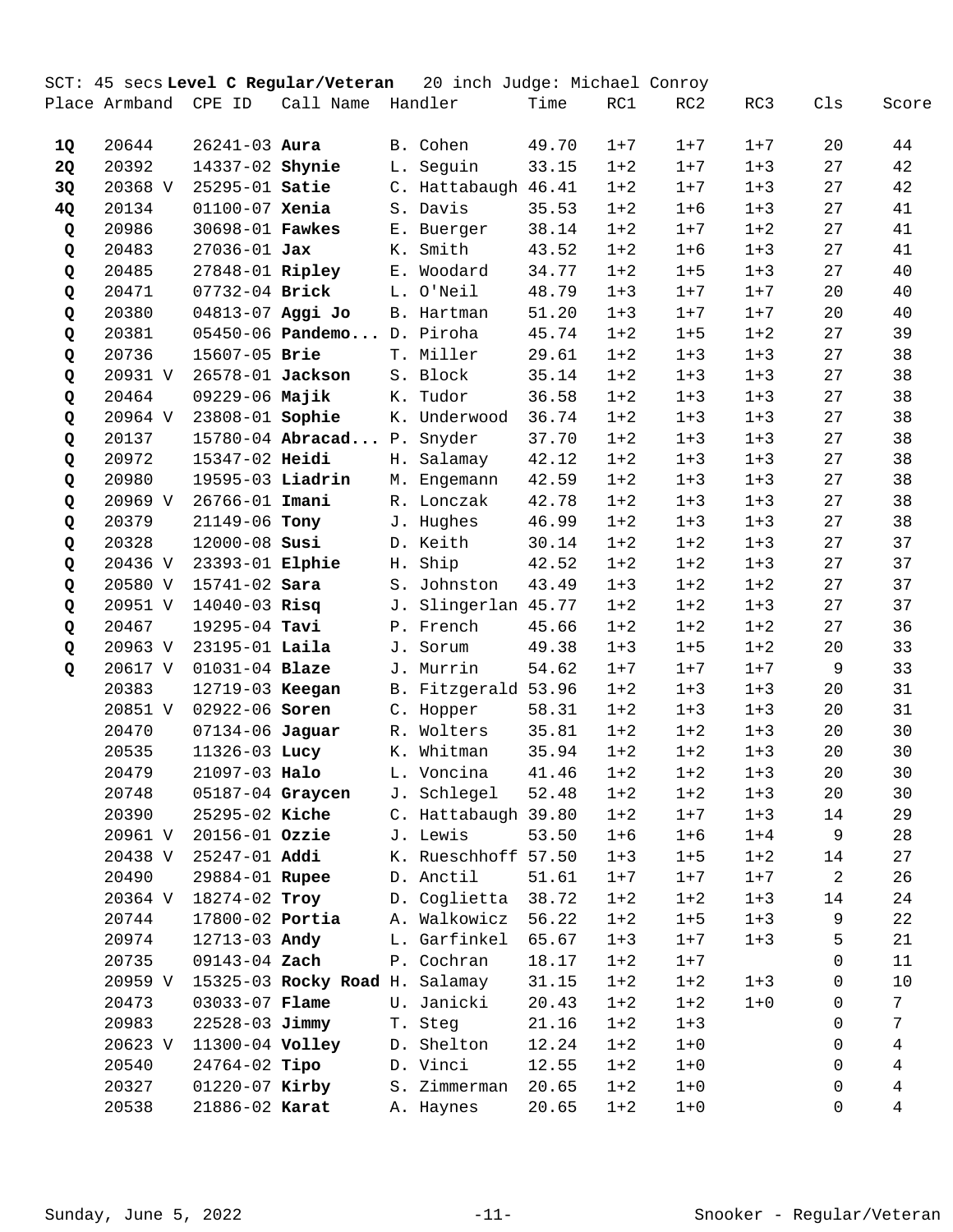|           |               |                   | SCT: 45 secs Level C Regular/Veteran |             | 20 inch Judge: Michael Conroy |       |         |         |         |                |       |
|-----------|---------------|-------------------|--------------------------------------|-------------|-------------------------------|-------|---------|---------|---------|----------------|-------|
|           | Place Armband | CPE ID            | Call Name                            |             | Handler                       | Time  | RC1     | RC2     | RC3     | Cls            | Score |
| 1Q        | 20644         | $26241 - 03$ Aura |                                      |             | B. Cohen                      | 49.70 | $1 + 7$ | $1 + 7$ | $1 + 7$ | 20             | 44    |
| <b>2Q</b> | 20392         | 14337-02 Shynie   |                                      |             | L. Seguin                     | 33.15 | $1 + 2$ | $1 + 7$ | $1 + 3$ | 27             | 42    |
| 3Q        | 20368 V       | 25295-01 Satie    |                                      |             | C. Hattabaugh 46.41           |       | $1 + 2$ | $1 + 7$ | $1 + 3$ | 27             | 42    |
| 4Q        | 20134         | 01100-07 Xenia    |                                      |             | S. Davis                      | 35.53 | $1 + 2$ | $1 + 6$ | $1 + 3$ | 27             | 41    |
| Q         | 20986         | 30698-01 Fawkes   |                                      |             | E. Buerger                    | 38.14 | $1 + 2$ | $1 + 7$ | $1 + 2$ | 27             | 41    |
| Q         | 20483         | $27036 - 01$ Jax  |                                      | К.          | Smith                         | 43.52 | $1 + 2$ | $1 + 6$ | $1 + 3$ | 27             | 41    |
| Q         | 20485         | 27848-01 Ripley   |                                      | $E_{\star}$ | Woodard                       | 34.77 | $1 + 2$ | $1 + 5$ | $1 + 3$ | 27             | 40    |
| Q         | 20471         | 07732-04 Brick    |                                      |             | L. O'Neil                     | 48.79 | $1 + 3$ | $1 + 7$ | $1 + 7$ | 20             | 40    |
| Q         | 20380         | 04813-07 Aggi Jo  |                                      |             | B. Hartman                    | 51.20 | $1 + 3$ | $1 + 7$ | $1 + 7$ | 20             | 40    |
| Q         | 20381         |                   | 05450-06 Pandemo                     |             | D. Piroha                     | 45.74 | $1 + 2$ | $1 + 5$ | $1 + 2$ | 27             | 39    |
| Q         | 20736         | 15607-05 Brie     |                                      |             | T. Miller                     | 29.61 | $1 + 2$ | $1 + 3$ | $1 + 3$ | 27             | 38    |
| Q         | 20931 V       | 26578-01 Jackson  |                                      |             | S. Block                      | 35.14 | $1 + 2$ | $1 + 3$ | $1 + 3$ | 27             | 38    |
| Q         | 20464         | 09229-06 Majik    |                                      | К.          | Tudor                         | 36.58 | $1 + 2$ | $1 + 3$ | $1 + 3$ | 27             | 38    |
| Q         | 20964 V       | 23808-01 Sophie   |                                      | К.          | Underwood                     | 36.74 | $1 + 2$ | $1 + 3$ | $1 + 3$ | 27             | 38    |
| Q         | 20137         |                   | 15780-04 Abracad                     | $P$ .       | Snyder                        | 37.70 | $1 + 2$ | $1 + 3$ | $1 + 3$ | 27             | 38    |
| Q         | 20972         | 15347-02 Heidi    |                                      |             | H. Salamay                    | 42.12 | $1 + 2$ | $1 + 3$ | $1 + 3$ | 27             | 38    |
| Q         | 20980         | 19595-03 Liadrin  |                                      |             | M. Engemann                   | 42.59 | $1 + 2$ | $1 + 3$ | $1 + 3$ | 27             | 38    |
| Q         | 20969 V       | 26766-01 Imani    |                                      |             | R. Lonczak                    | 42.78 | $1 + 2$ | $1 + 3$ | $1 + 3$ | 27             | 38    |
| Q         | 20379         | 21149-06 Tony     |                                      |             | J. Hughes                     | 46.99 | $1 + 2$ | $1 + 3$ | $1 + 3$ | 27             | 38    |
| Q         | 20328         | 12000-08 Susi     |                                      |             | D. Keith                      | 30.14 | $1 + 2$ | $1 + 2$ | $1 + 3$ | 27             | 37    |
| Q         | 20436 V       | 23393-01 Elphie   |                                      | Н.          | Ship                          | 42.52 | $1 + 2$ | $1 + 2$ | $1 + 3$ | 27             | 37    |
| Q         | 20580 V       | 15741-02 Sara     |                                      | $S$ .       | Johnston                      | 43.49 | $1 + 3$ | $1 + 2$ | $1 + 2$ | 27             | 37    |
| Q         | 20951 V       | $14040 - 03$ Risq |                                      |             | J. Slingerlan 45.77           |       | $1 + 2$ | $1 + 2$ | $1 + 3$ | 27             | 37    |
| Q         | 20467         | 19295-04 Tavi     |                                      |             | P. French                     | 45.66 | $1 + 2$ | $1 + 2$ | $1 + 2$ | 27             | 36    |
| Q         | 20963 V       | 23195-01 Laila    |                                      |             | J. Sorum                      | 49.38 | $1 + 3$ | $1 + 5$ | $1 + 2$ | 20             | 33    |
| Q         | 20617 V       | 01031-04 Blaze    |                                      |             | J. Murrin                     | 54.62 | $1 + 7$ | $1 + 7$ | $1 + 7$ | 9              | 33    |
|           | 20383         | 12719-03 Keegan   |                                      |             | B. Fitzgerald 53.96           |       | $1 + 2$ | $1 + 3$ | $1 + 3$ | 20             | 31    |
|           | 20851 V       | 02922-06 Soren    |                                      |             | C. Hopper                     | 58.31 | $1 + 2$ | $1 + 3$ | $1 + 3$ | 20             | 31    |
|           | 20470         | 07134-06 Jaguar   |                                      |             | R. Wolters                    | 35.81 | $1 + 2$ | $1 + 2$ | $1 + 3$ | 20             | 30    |
|           | 20535         | 11326-03 Lucy     |                                      |             | K. Whitman                    | 35.94 | $1 + 2$ | $1 + 2$ | $1 + 3$ | 20             | 30    |
|           | 20479         | 21097-03 Halo     |                                      |             | L. Voncina                    | 41.46 | $1 + 2$ | $1 + 2$ | $1 + 3$ | 20             | 30    |
|           | 20748         | 05187-04 Graycen  |                                      |             | J. Schlegel                   | 52.48 | $1 + 2$ | $1 + 2$ | $1 + 3$ | 20             | 30    |
|           | 20390         | 25295-02 Kiche    |                                      |             | C. Hattabaugh 39.80           |       | $1 + 2$ | $1 + 7$ | $1 + 3$ | 14             | 29    |
|           | 20961 V       | 20156-01 Ozzie    |                                      |             | J. Lewis                      | 53.50 | $1 + 6$ | $1 + 6$ | $1 + 4$ | 9              | 28    |
|           | 20438 V       | 25247-01 Addi     |                                      |             | K. Rueschhoff 57.50           |       | $1 + 3$ | $1 + 5$ | $1 + 2$ | 14             | 27    |
|           | 20490         | 29884-01 Rupee    |                                      |             | D. Anctil                     | 51.61 | $1 + 7$ | $1 + 7$ | $1 + 7$ | $\overline{a}$ | 26    |
|           | 20364 V       | 18274-02 Troy     |                                      |             | D. Coglietta                  | 38.72 | $1 + 2$ | $1 + 2$ | $1 + 3$ | 14             | 24    |
|           | 20744         | 17800-02 Portia   |                                      |             | A. Walkowicz                  | 56.22 | $1 + 2$ | $1 + 5$ | $1 + 3$ | 9              | 22    |
|           | 20974         | 12713-03 Andy     |                                      |             | L. Garfinkel                  | 65.67 | $1 + 3$ | $1 + 7$ | $1 + 3$ | 5              | 21    |
|           | 20735         | 09143-04 Zach     |                                      |             | P. Cochran                    | 18.17 | $1 + 2$ | $1 + 7$ |         | $\Omega$       | 11    |
|           | 20959 V       |                   | 15325-03 Rocky Road H. Salamay       |             |                               | 31.15 | $1 + 2$ | $1 + 2$ | $1 + 3$ | 0              | $10$  |
|           | 20473         | 03033-07 Flame    |                                      |             | U. Janicki                    | 20.43 | $1 + 2$ | $1 + 2$ | $1 + 0$ | 0              | 7     |
|           | 20983         | 22528-03 Jimmy    |                                      |             | T. Steg                       | 21.16 | $1 + 2$ | $1 + 3$ |         | 0              | 7     |
|           | 20623 V       | 11300-04 Volley   |                                      |             | D. Shelton                    | 12.24 | $1 + 2$ | $1 + 0$ |         | 0              | 4     |
|           | 20540         | 24764-02 Tipo     |                                      |             | D. Vinci                      | 12.55 | $1 + 2$ | $1 + 0$ |         | 0              | 4     |
|           | 20327         | 01220-07 Kirby    |                                      |             | S. Zimmerman                  | 20.65 | $1 + 2$ | $1 + 0$ |         | 0              | 4     |
|           | 20538         | 21886-02 Karat    |                                      |             | A. Haynes                     | 20.65 | $1 + 2$ | $1 + 0$ |         | 0              | 4     |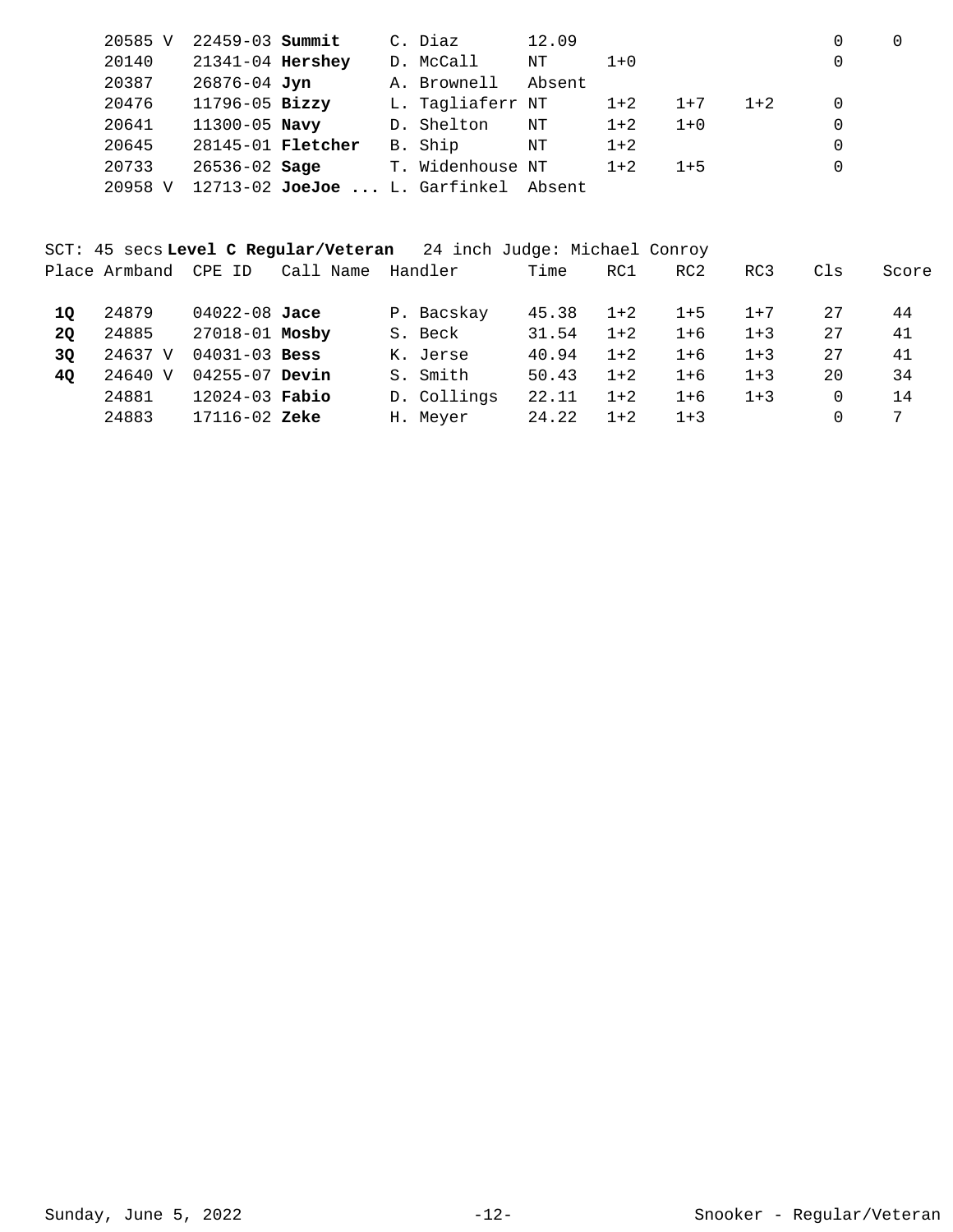| 20585 V | $22459 - 03$ Summit      |                                   | C. Diaz          | 12.09  |         |         |       | 0 |  |
|---------|--------------------------|-----------------------------------|------------------|--------|---------|---------|-------|---|--|
| 20140   | 21341-04 Hershey         |                                   | D. McCall        | ΝT     | $1 + 0$ |         |       | 0 |  |
| 20387   | 26876-04 Jyn             |                                   | A. Brownell      | Absent |         |         |       |   |  |
| 20476   | 11796-05 Bizzy           |                                   | L. Tagliaferr NT |        | $1 + 2$ | $1+7$   | $1+2$ | 0 |  |
| 20641   | $11300 - 05$ Navy        |                                   | D. Shelton       | NΤ     | $1 + 2$ | $1 + 0$ |       | 0 |  |
| 20645   | 28145-01 <b>Fletcher</b> |                                   | B. Ship          | NΤ     | $1+2$   |         |       | 0 |  |
| 20733   | $26536 - 02$ Sage        |                                   | T. Widenhouse NT |        | $1+2$   | $1 + 5$ |       | 0 |  |
| 20958 V |                          | $12713 - 02$ JoeJoe  L. Garfinkel |                  | Absent |         |         |       |   |  |

|           |               |                    |           | SCT: 45 secs Level C Reqular/Veteran 24 inch Judge: Michael Conroy |       |         |         |         |          |       |
|-----------|---------------|--------------------|-----------|--------------------------------------------------------------------|-------|---------|---------|---------|----------|-------|
|           | Place Armband | CPE ID             | Call Name | Handler                                                            | Time  | RC1     | RC2     | RC3     | Cls      | Score |
| 10        | 24879         | $04022 - 08$ Jace  |           | P. Bacskay                                                         | 45.38 | $1+2$   | $1 + 5$ | $1 + 7$ | 27       | 44    |
| <b>20</b> | 24885         | 27018-01 Mosby     |           | S. Beck                                                            | 31.54 | $1 + 2$ | $1+6$   | $1 + 3$ | 27       | 41    |
| 3Q        | 24637 V       | $04031 - 03$ Bess  |           | K. Jerse                                                           | 40.94 | $1 + 2$ | $1+6$   | $1 + 3$ | 27       | 41    |
| 4Q        | 24640 V       | $04255 - 07$ Devin |           | S. Smith                                                           | 50.43 | $1+2$   | $1+6$   | $1+3$   | 20       | 34    |
|           | 24881         | $12024 - 03$ Fabio |           | D. Collings                                                        | 22.11 | $1 + 2$ | $1+6$   | $1 + 3$ | $\Omega$ | 14    |
|           | 24883         | $17116 - 02$ Zeke  |           | H. Meyer                                                           | 24.22 | $1 + 2$ | $1 + 3$ |         |          | 7     |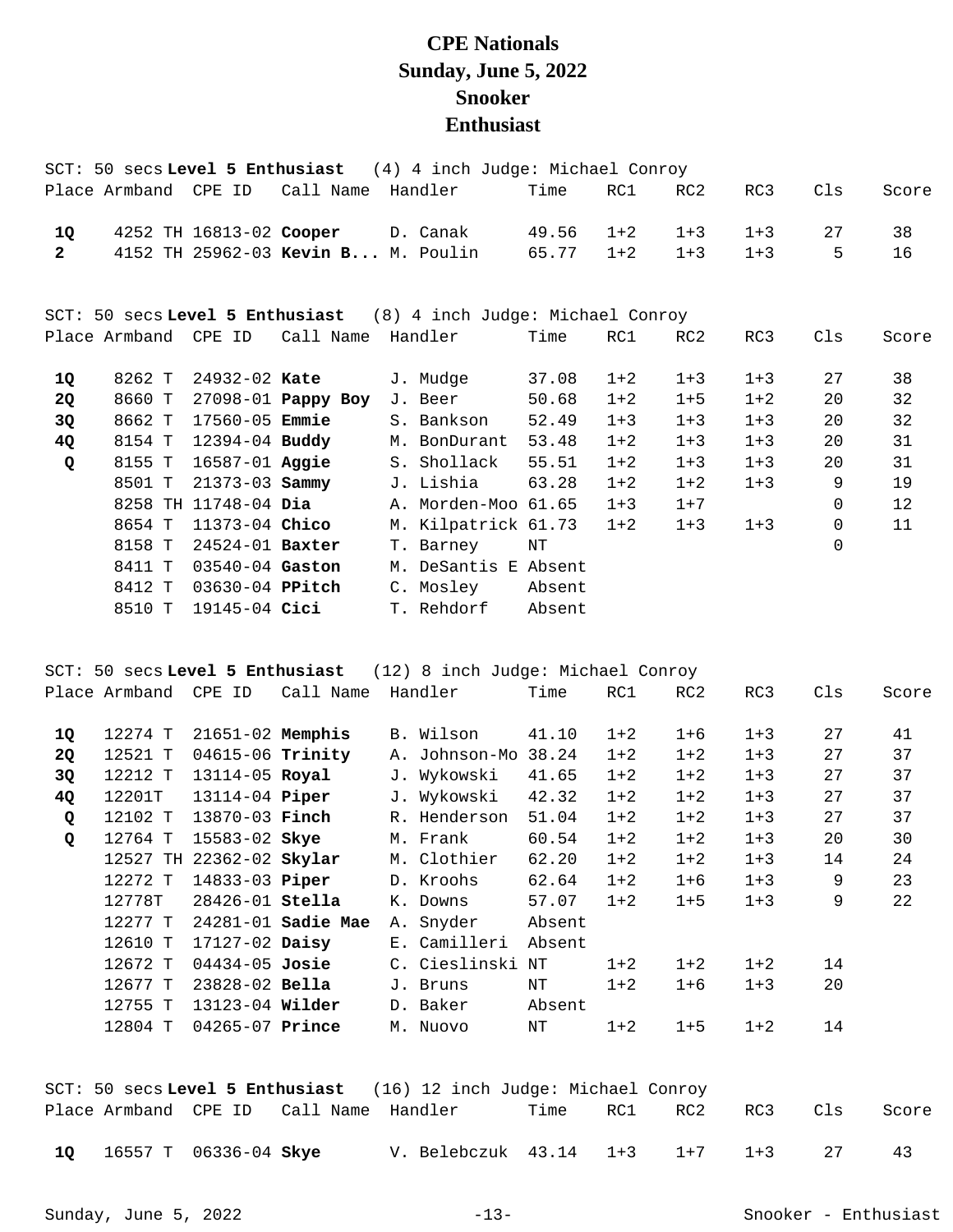## **CPE Nationals Sunday, June 5, 2022 Snooker Enthusiast**

|                |                       |                       |                                    | SCT: 50 secs Level 5 Enthusiast (4) 4 inch Judge: Michael Conroy |        |         |                 |         |          |       |
|----------------|-----------------------|-----------------------|------------------------------------|------------------------------------------------------------------|--------|---------|-----------------|---------|----------|-------|
|                | Place Armband  CPE ID |                       | Call Name Handler                  |                                                                  | Time   | RC1     | RC2             | RC3     | Cls      | Score |
| 1Q             |                       |                       | 4252 TH 16813-02 Cooper D. Canak   |                                                                  | 49.56  | $1+2$   | $1 + 3$         | $1 + 3$ | 27       | 38    |
| $\overline{2}$ |                       |                       | 4152 TH 25962-03 Kevin B M. Poulin |                                                                  | 65.77  | $1+2$   | $1 + 3$         | $1 + 3$ | 5        | 16    |
|                |                       |                       |                                    |                                                                  |        |         |                 |         |          |       |
|                |                       |                       |                                    | SCT: 50 secs Level 5 Enthusiast (8) 4 inch Judge: Michael Conroy |        |         |                 |         |          |       |
|                | Place Armband CPE ID  |                       | Call Name Handler                  |                                                                  | Time   | RC1     | RC <sub>2</sub> | RC3     | Cls      | Score |
|                |                       |                       |                                    |                                                                  |        |         |                 |         |          |       |
| 1Q             | 8262 T                |                       | 24932-02 Kate                      | J. Mudge                                                         | 37.08  | $1 + 2$ | $1 + 3$         | $1 + 3$ | 27       | 38    |
| 2Q             | 8660 T                |                       | 27098-01 Pappy Boy                 | J. Beer                                                          | 50.68  | $1 + 2$ | $1 + 5$         | $1 + 2$ | 20       | 32    |
| 3Q             | 8662 T                | 17560-05 <b>Emmie</b> |                                    | S. Bankson                                                       | 52.49  | $1 + 3$ | $1 + 3$         | $1 + 3$ | 20       | 32    |
| 4Q             | 8154 T                |                       | 12394-04 Buddy                     | M. BonDurant 53.48                                               |        | $1 + 2$ | $1 + 3$         | $1 + 3$ | 20       | 31    |
| Q              | 8155 T                |                       | 16587-01 Aggie S. Shollack         |                                                                  | 55.51  | $1 + 2$ | $1 + 3$         | $1 + 3$ | 20       | 31    |
|                | 8501 T                | 21373-03 Sammy        |                                    | J. Lishia                                                        | 63.28  | $1 + 2$ | $1 + 2$         | $1 + 3$ | 9        | 19    |
|                |                       | 8258 TH 11748-04 Dia  |                                    | A. Morden-Moo 61.65                                              |        | $1 + 3$ | $1 + 7$         |         | 0        | 12    |
|                | 8654 T                | 11373-04 Chico        |                                    | M. Kilpatrick 61.73 1+2                                          |        |         | $1 + 3$         | $1 + 3$ | 0        | 11    |
|                | 8158 T                | $24524 - 01$ Baxter   |                                    | T. Barney                                                        | ΝT     |         |                 |         | $\Omega$ |       |
|                | 8411 T                | 03540-04 Gaston       |                                    | M. DeSantis E Absent                                             |        |         |                 |         |          |       |
|                | 8412 T                | 03630-04 PPitch       |                                    | C. Mosley                                                        | Absent |         |                 |         |          |       |
|                | 8510 T                | $19145 - 04$ Cici     |                                    | T. Rehdorf                                                       | Absent |         |                 |         |          |       |
|                |                       |                       |                                    |                                                                  |        |         |                 |         |          |       |

SCT: 50 secs **Level 5 Enthusiast** (12) 8 inch Judge: Michael Conroy Place Armband CPE ID Call Name Handler Time RC1 RC2 RC3 Cls Score

| 10        | 12274 T | $21651-02$ Memphis       |                        | B. Wilson        | 41.10  | $1+2$   | $1 + 6$ | $1 + 3$ | 27 | 41 |
|-----------|---------|--------------------------|------------------------|------------------|--------|---------|---------|---------|----|----|
| <b>2Q</b> | 12521 T | 04615-06 Trinity         |                        | A. Johnson-Mo    | 38.24  | $1 + 2$ | $1 + 2$ | $1 + 3$ | 27 | 37 |
| 3Q        | 12212 T | 13114-05 Royal           |                        | J. Wykowski      | 41.65  | $1+2$   | $1 + 2$ | $1 + 3$ | 27 | 37 |
| 4Q        | 12201T  | 13114-04 Piper           |                        | J. Wykowski      | 42.32  | $1+2$   | $1 + 2$ | $1 + 3$ | 27 | 37 |
| Q         | 12102 T | 13870-03 <b>Finch</b>    |                        | R. Henderson     | 51.04  | $1+2$   | $1 + 2$ | $1 + 3$ | 27 | 37 |
| Q         | 12764 T | 15583-02 Skye            |                        | M. Frank         | 60.54  | $1 + 2$ | $1 + 2$ | $1 + 3$ | 20 | 30 |
|           |         | 12527 TH 22362-02 Skylar |                        | M. Clothier      | 62.20  | $1+2$   | $1 + 2$ | $1 + 3$ | 14 | 24 |
|           | 12272 T | 14833-03 <b>Piper</b>    |                        | D. Kroohs        | 62.64  | $1 + 2$ | $1+6$   | $1 + 3$ | 9  | 23 |
|           | 12778T  | $28426 - 01$ Stella      |                        | K. Downs         | 57.07  | $1 + 2$ | $1 + 5$ | $1 + 3$ | 9  | 22 |
|           | 12277 T |                          | $24281 - 01$ Sadie Mae | A. Snyder        | Absent |         |         |         |    |    |
|           | 12610 T | $17127 - 02$ Daisy       |                        | E. Camilleri     | Absent |         |         |         |    |    |
|           | 12672 T | $04434 - 05$ Josie       |                        | C. Cieslinski NT |        | $1+2$   | $1 + 2$ | $1 + 2$ | 14 |    |
|           | 12677 T | $23828 - 02$ Bella       |                        | J. Bruns         | NΤ     | $1+2$   | $1 + 6$ | $1 + 3$ | 20 |    |
|           | 12755 T | $13123 - 04$ Wilder      |                        | D. Baker         | Absent |         |         |         |    |    |
|           | 12804 T | 04265-07 Prince          |                        | M. Nuovo         | ΝT     | $1 + 2$ | $1 + 5$ | $1 + 2$ | 14 |    |
|           |         |                          |                        |                  |        |         |         |         |    |    |

|  |                          |                                        | SCT: 50 secs Level 5 Enthusiast $(16)$ 12 inch Judge: Michael Conroy |  |                  |     |       |
|--|--------------------------|----------------------------------------|----------------------------------------------------------------------|--|------------------|-----|-------|
|  |                          | Place Armband CPE ID Call Name Handler |                                                                      |  | Time RC1 RC2 RC3 | Cls | Score |
|  | 10 16557 T 06336-04 Skye |                                        | V. Belebczuk 43.14 1+3 1+7 1+3                                       |  |                  |     |       |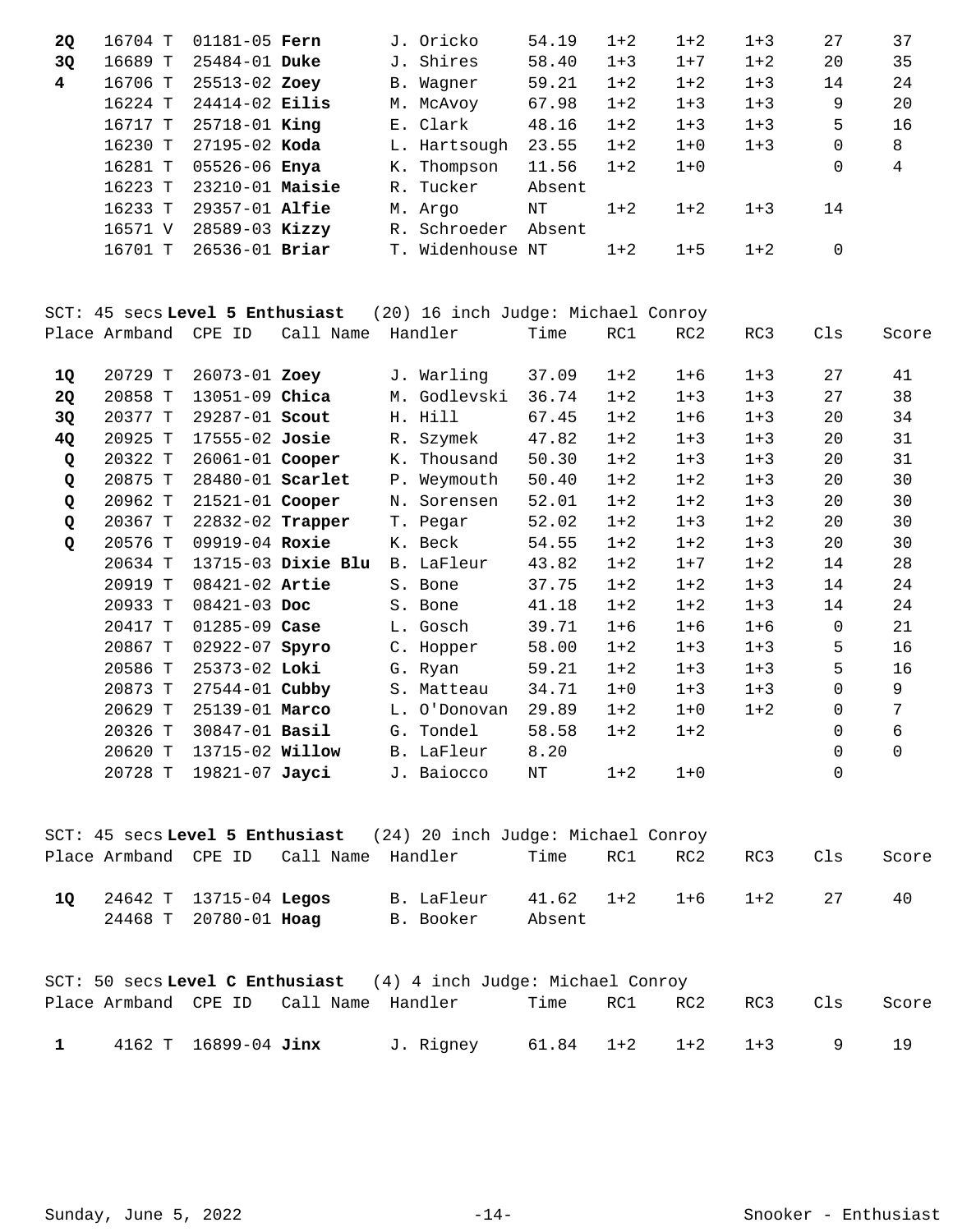| 2Q                      | 16704 T              | 01181-05 Fern                   |                    | J. Oricko                          | 54.19     | $1 + 2$ | $1 + 2$ | $1 + 3$ | 27           | 37             |
|-------------------------|----------------------|---------------------------------|--------------------|------------------------------------|-----------|---------|---------|---------|--------------|----------------|
| 3Q                      | 16689 T              | 25484-01 Duke                   |                    | J. Shires                          | 58.40     | $1 + 3$ | $1 + 7$ | $1 + 2$ | 20           | 35             |
| $\overline{\mathbf{4}}$ | 16706 T              | 25513-02 Zoey                   |                    | B. Wagner                          | 59.21     | $1 + 2$ | $1 + 2$ | $1 + 3$ | 14           | 24             |
|                         | 16224 T              | 24414-02 Eilis                  |                    | M. McAvoy                          | 67.98     | $1 + 2$ | $1 + 3$ | $1 + 3$ | 9            | 20             |
|                         | 16717 T              | 25718-01 King                   |                    | E. Clark                           | 48.16     | $1 + 2$ | $1 + 3$ | $1 + 3$ | 5            | 16             |
|                         | 16230 T              | 27195-02 Koda                   |                    | L. Hartsough                       | 23.55     | $1 + 2$ | $1 + 0$ | $1 + 3$ | $\mathsf{O}$ | 8              |
|                         | 16281 T              | 05526-06 Enya                   |                    | K. Thompson                        | 11.56     | $1 + 2$ | $1 + 0$ |         | $\mathbf 0$  | $\overline{4}$ |
|                         | 16223 T              | 23210-01 Maisie                 |                    | R. Tucker                          | Absent    |         |         |         |              |                |
|                         | 16233 T              | 29357-01 Alfie                  |                    | M. Argo                            | $\rm{NT}$ | $1 + 2$ | $1 + 2$ | $1 + 3$ | 14           |                |
|                         | 16571 V              | 28589-03 Kizzy                  |                    | R. Schroeder                       | Absent    |         |         |         |              |                |
|                         | 16701 T              | 26536-01 Briar                  |                    | T. Widenhouse NT                   |           | $1 + 2$ | $1 + 5$ | $1 + 2$ | $\mathbf 0$  |                |
|                         |                      |                                 |                    |                                    |           |         |         |         |              |                |
|                         |                      | SCT: 45 secs Level 5 Enthusiast |                    | (20) 16 inch Judge: Michael Conroy |           |         |         |         |              |                |
|                         | Place Armband CPE ID |                                 | Call Name          | Handler                            | Time      | RC1     | RC2     | RC3     | Cls          | Score          |
|                         |                      |                                 |                    |                                    |           |         |         |         |              |                |
| 1Q                      | 20729 T              | 26073-01 Zoey                   |                    | J. Warling                         | 37.09     | $1 + 2$ | $1 + 6$ | $1 + 3$ | 27           | 41             |
| 2Q                      | 20858 T              | 13051-09 Chica                  |                    | M. Godlevski                       | 36.74     | $1 + 2$ | $1 + 3$ | $1 + 3$ | 27           | 38             |
| 3Q                      | 20377 T              | 29287-01 Scout                  |                    | H. Hill                            | 67.45     | $1 + 2$ | $1 + 6$ | $1 + 3$ | 20           | 34             |
| 4Q                      | 20925 T              | 17555-02 Josie                  |                    | R. Szymek                          | 47.82     | $1 + 2$ | $1 + 3$ | $1 + 3$ | 20           | 31             |
| Q                       | 20322 T              | 26061-01 Cooper                 |                    | K. Thousand                        | 50.30     | $1 + 2$ | $1 + 3$ | $1 + 3$ | 20           | 31             |
| Q                       | 20875 T              | 28480-01 Scarlet                |                    | P. Weymouth                        | 50.40     | $1 + 2$ | $1 + 2$ | $1 + 3$ | 20           | 30             |
| Q                       | 20962 T              | 21521-01 Cooper                 |                    | N. Sorensen                        | 52.01     | $1 + 2$ | $1 + 2$ | $1 + 3$ | 20           | 30             |
| Q                       | 20367 T              | 22832-02 Trapper                |                    | T. Pegar                           | 52.02     | $1 + 2$ | $1 + 3$ | $1 + 2$ | 20           | 30             |
| Q                       | 20576 T              | 09919-04 Roxie                  |                    | K. Beck                            | 54.55     | $1 + 2$ | $1 + 2$ | $1 + 3$ | 20           | 30             |
|                         | 20634 T              |                                 | 13715-03 Dixie Blu | B. LaFleur                         | 43.82     | $1 + 2$ | $1 + 7$ | $1 + 2$ | 14           | 28             |
|                         | 20919 T              | 08421-02 Artie                  |                    | S. Bone                            | 37.75     | $1 + 2$ | $1 + 2$ | $1 + 3$ | 14           | 24             |
|                         | 20933 T              | 08421-03 Doc                    |                    | S. Bone                            | 41.18     | $1 + 2$ | $1 + 2$ | $1 + 3$ | 14           | 24             |
|                         | 20417 T              | 01285-09 Case                   |                    | L. Gosch                           | 39.71     | $1 + 6$ | $1 + 6$ | $1 + 6$ | $\mathbf 0$  | 21             |
|                         | 20867 T              | 02922-07 Spyro                  |                    | C. Hopper                          | 58.00     | $1 + 2$ | $1 + 3$ | $1 + 3$ | 5            | 16             |
|                         | 20586 T              | 25373-02 Loki                   |                    | G. Ryan                            | 59.21     | $1 + 2$ | $1 + 3$ | $1 + 3$ | 5            | 16             |
|                         | 20873 T              | 27544-01 Cubby                  |                    | S. Matteau                         | 34.71     | $1 + 0$ | $1 + 3$ | $1 + 3$ | $\Omega$     | 9              |
|                         | 20629 T              | 25139-01 Marco                  |                    | L. O'Donovan                       | 29.89     | $1 + 2$ | $1 + 0$ | $1 + 2$ | $\Omega$     | 7              |
|                         | 20326 T              | 30847-01 Basil                  |                    | G. Tondel                          | 58.58     | $1 + 2$ | $1 + 2$ |         | $\Omega$     | 6              |
|                         | 20620 T              | 13715-02 Willow                 |                    | B. LaFleur                         | 8.20      |         |         |         | 0            | $\mathbf 0$    |
|                         | 20728 T              | 19821-07 Jayci                  |                    | J. Baiocco                         | NT        | $1 + 2$ | $1 + 0$ |         | $\Omega$     |                |

|    |                                                        |                                        | SCT: 45 secs Level 5 Enthusiast (24) 20 inch Judge: Michael Conroy |        |     |                           |     |     |       |
|----|--------------------------------------------------------|----------------------------------------|--------------------------------------------------------------------|--------|-----|---------------------------|-----|-----|-------|
|    |                                                        | Place Armband CPE ID Call Name Handler |                                                                    | Time   | RC1 | RC2                       | RC3 | Cls | Score |
| 10 | 24642 T 13715-04 <b>Legos</b><br>24468 T 20780-01 Hoag |                                        | B. LaFleur<br>B. Booker                                            | Absent |     | $41.62$ $1+2$ $1+6$ $1+2$ |     | 27  | 40    |

|              |                      |                                        |           | SCT: 50 secs Level C Enthusiast $(4)$ 4 inch Judge: Michael Conroy |  |         |       |
|--------------|----------------------|----------------------------------------|-----------|--------------------------------------------------------------------|--|---------|-------|
|              |                      | Place Armband CPE ID Call Name Handler |           | Time                                                               |  | RC3 Cls | Score |
| $\mathbf{1}$ | 4162 T 16899-04 Jinx |                                        | J. Rigney | $61.84$ $1+2$ $1+2$ $1+3$                                          |  |         |       |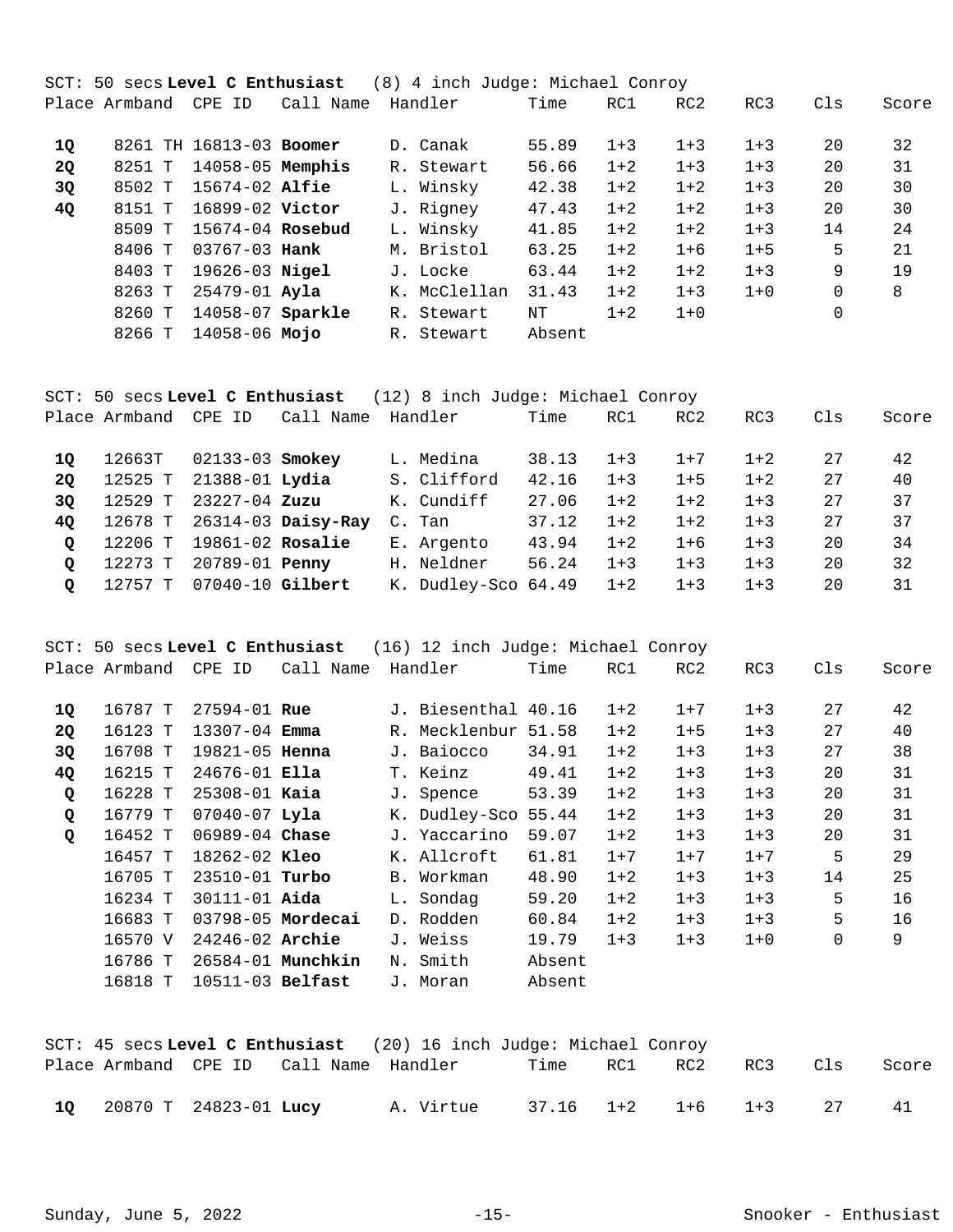|           |               |                         |           | SCT: 50 secs Level C Enthusiast (8) 4 inch Judge: Michael Conroy |        |         |         |         |          |       |
|-----------|---------------|-------------------------|-----------|------------------------------------------------------------------|--------|---------|---------|---------|----------|-------|
|           | Place Armband | CPE ID                  | Call Name | Handler                                                          | Time   | RC1     | RC2     | RC3     | Cls      | Score |
|           |               |                         |           |                                                                  |        |         |         |         |          |       |
| <b>10</b> |               | 8261 TH 16813-03 Boomer |           | D. Canak                                                         | 55.89  | $1+3$   | $1 + 3$ | $1 + 3$ | 20       | 32    |
| <b>2Q</b> | 8251 T        | 14058-05 Memphis        |           | R. Stewart                                                       | 56.66  | $1 + 2$ | $1 + 3$ | $1 + 3$ | 20       | 31    |
| 3Q        | 8502 T        | $15674 - 02$ Alfie      |           | L. Winsky                                                        | 42.38  | $1 + 2$ | $1 + 2$ | $1 + 3$ | 20       | 30    |
| 4Q        | 8151 T        | 16899-02 Victor         |           | J. Rigney                                                        | 47.43  | $1 + 2$ | $1 + 2$ | $1 + 3$ | 20       | 30    |
|           | 8509 T        | 15674-04 Rosebud        |           | L. Winsky                                                        | 41.85  | $1 + 2$ | $1 + 2$ | $1 + 3$ | 14       | 24    |
|           | 8406 T        | $03767 - 03$ Hank       |           | M. Bristol                                                       | 63.25  | $1+2$   | $1 + 6$ | $1 + 5$ | 5        | 21    |
|           | 8403 T        | 19626-03 <b>Nigel</b>   |           | J. Locke                                                         | 63.44  | $1+2$   | $1 + 2$ | $1 + 3$ | 9        | 19    |
|           | 8263 T        | 25479-01 Ayla           |           | K. McClellan                                                     | 31.43  | $1+2$   | $1 + 3$ | $1 + 0$ | $\Omega$ | 8     |
|           | 8260 T        | 14058-07 Sparkle        |           | R. Stewart                                                       | NΤ     | $1 + 2$ | $1 + 0$ |         | 0        |       |
|           | 8266 T        | 14058-06 <b>Mojo</b>    |           | R. Stewart                                                       | Absent |         |         |         |          |       |
|           |               |                         |           |                                                                  |        |         |         |         |          |       |

|             | SCT: 50 secs Level C Enthusiast (12) 8 inch Judge: Michael Conroy |                       |                    |                     |       |         |         |         |     |       |  |  |  |
|-------------|-------------------------------------------------------------------|-----------------------|--------------------|---------------------|-------|---------|---------|---------|-----|-------|--|--|--|
|             | Place Armband  CPE ID                                             |                       | Call Name          | Handler             | Time  | RC1     | RC2     | RC3     | Cls | Score |  |  |  |
| 10          | 12663T                                                            | $02133 - 03$ Smokey   |                    | L. Medina           | 38.13 | $1 + 3$ | $1+7$   | $1 + 2$ | 27  | 42    |  |  |  |
| 20          | 12525 T                                                           | 21388-01 <b>Lydia</b> |                    | S. Clifford         | 42.16 | $1+3$   | $1 + 5$ | $1 + 2$ | 27  | 40    |  |  |  |
| 3Q          | 12529 T                                                           | 23227-04 Zuzu         |                    | K. Cundiff          | 27.06 | $1+2$   | $1+2$   | $1 + 3$ | 27  | 37    |  |  |  |
| 40          | 12678 T                                                           |                       | 26314-03 Daisy-Ray | C. Tan              | 37.12 | $1+2$   | $1+2$   | $1 + 3$ | 27  | 37    |  |  |  |
| $\circ$     | 12206 T                                                           | $19861-02$ Rosalie    |                    | E. Argento          | 43.94 | $1 + 2$ | $1 + 6$ | $1 + 3$ | 20  | 34    |  |  |  |
| $\circ$     | 12273 T                                                           | 20789-01 <b>Penny</b> |                    | H. Neldner          | 56.24 | $1+3$   | $1 + 3$ | $1 + 3$ | 20  | 32    |  |  |  |
| $\mathbf Q$ | 12757 T                                                           | 07040-10 Gilbert      |                    | K. Dudley-Sco 64.49 |       | $1+2$   | $1 + 3$ | $1 + 3$ | 20  | 31    |  |  |  |

SCT: 50 secs **Level C Enthusiast** (16) 12 inch Judge: Michael Conroy Place Armband CPE ID Call Name Handler Time RC1 RC2 RC3 Cls Score

|              | rıace Almuanu | ◡◸◻<br>⊥           | Call Name             | nanurer             | T TIME | エンエ     | ハしム     | いしつ     | ◡⊥๖ | <b>DUOLE</b> |
|--------------|---------------|--------------------|-----------------------|---------------------|--------|---------|---------|---------|-----|--------------|
| 1Q           | 16787 T       | $27594 - 01$ Rue   |                       | J. Biesenthal 40.16 |        | $1 + 2$ | $1 + 7$ | $1 + 3$ | 27  | 42           |
| <b>20</b>    | 16123 T       | $13307 - 04$ Emma  |                       | R. Mecklenbur 51.58 |        | $1 + 2$ | $1 + 5$ | $1 + 3$ | 27  | 40           |
| 3Q           | 16708 T       | $19821 - 05$ Henna |                       | J. Baiocco          | 34.91  | $1 + 2$ | $1 + 3$ | $1 + 3$ | 27  | 38           |
| 4Q           | 16215 T       | $24676 - 01$ Ella  |                       | T. Keinz            | 49.41  | $1 + 2$ | $1 + 3$ | $1 + 3$ | 20  | 31           |
| $\mathbf{Q}$ | 16228 T       | $25308 - 01$ Kaia  |                       | J. Spence           | 53.39  | $1 + 2$ | $1 + 3$ | $1 + 3$ | 20  | 31           |
| Q            | 16779 T       | $07040 - 07$ Lyla  |                       | K. Dudley-Sco 55.44 |        | $1 + 2$ | $1 + 3$ | $1 + 3$ | 20  | 31           |
| $\mathbf{Q}$ | 16452 T       | 06989-04 Chase     |                       | J. Yaccarino        | 59.07  | $1 + 2$ | $1 + 3$ | $1 + 3$ | 20  | 31           |
|              | 16457 T       | $18262 - 02$ Kleo  |                       | K. Allcroft         | 61.81  | $1 + 7$ | $1 + 7$ | $1 + 7$ | 5   | 29           |
|              | 16705 T       | $23510 - 01$ Turbo |                       | B. Workman          | 48.90  | $1 + 2$ | $1 + 3$ | $1 + 3$ | 14  | 25           |
|              | 16234 T       | $30111 - 01$ Aida  |                       | L. Sondag           | 59.20  | $1 + 2$ | $1 + 3$ | $1 + 3$ | 5   | 16           |
|              | 16683 T       |                    | $03798 - 05$ Mordecai | D. Rodden           | 60.84  | $1 + 2$ | $1 + 3$ | $1 + 3$ | 5   | 16           |
|              | 16570 V       | 24246-02 Archie    |                       | J. Weiss            | 19.79  | $1 + 3$ | $1 + 3$ | $1 + 0$ | 0   | 9            |
|              | 16786 T       |                    | 26584-01 Munchkin     | N. Smith            | Absent |         |         |         |     |              |
|              | 16818 T       | $10511-03$ Belfast |                       | J. Moran            | Absent |         |         |         |     |              |
|              |               |                    |                       |                     |        |         |         |         |     |              |

|  |                          |                                        | SCT: 45 secs Level C Enthusiast (20) 16 inch Judge: Michael Conroy |      |     |                           |     |     |       |
|--|--------------------------|----------------------------------------|--------------------------------------------------------------------|------|-----|---------------------------|-----|-----|-------|
|  |                          | Place Armband CPE ID Call Name Handler |                                                                    | Time | RC1 | RC2                       | RC3 | Cls | Score |
|  | 10 20870 T 24823-01 Lucy |                                        | A. Virtue                                                          |      |     | $37.16$ $1+2$ $1+6$ $1+3$ |     |     |       |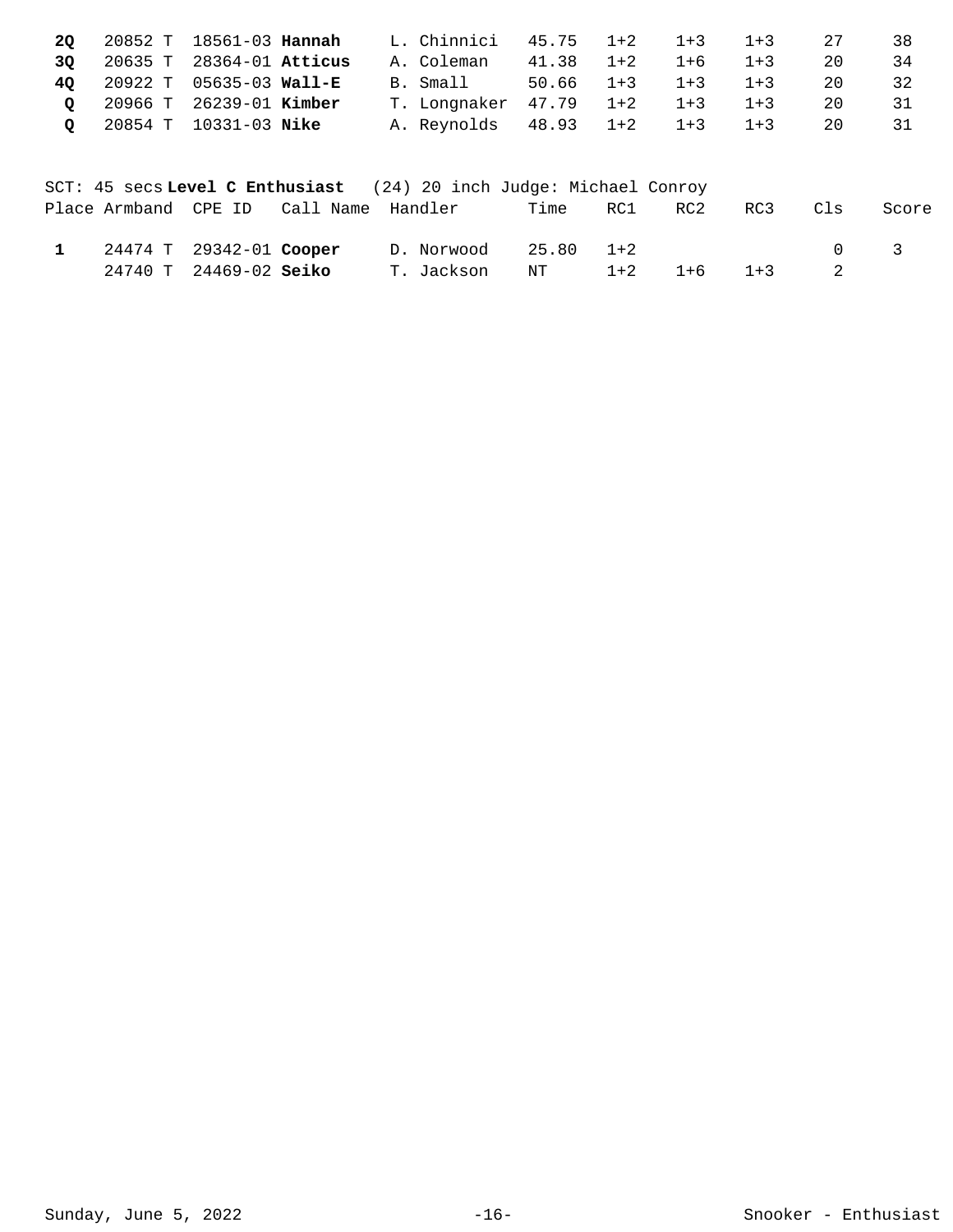|  | <b>20</b> 20852 T 18561-03 <b>Hannah</b> |  | L. Chinnici 45.75 1+2 1+3 1+3  |                           |  | 2.7 | -38 |
|--|------------------------------------------|--|--------------------------------|---------------------------|--|-----|-----|
|  | 3Q 20635 T 28364-01 Atticus              |  | A. Coleman                     | $41.38$ $1+2$ $1+6$ $1+3$ |  | 20  | 34  |
|  | 40 20922 T 05635-03 Wall-E               |  | B. Small 50.66 1+3 1+3 1+3     |                           |  | 20  | 32  |
|  | Q 20966 T 26239-01 Kimber                |  | T. Longnaker 47.79 1+2 1+3 1+3 |                           |  | 20  | 31  |
|  | Q 20854 T 10331-03 Nike                  |  | A. Reynolds 48.93 1+2 1+3 1+3  |                           |  | 20  | 31  |
|  |                                          |  |                                |                           |  |     |     |

|                         |                                        | SCT: 45 secs Level C Enthusiast (24) 20 inch Judge: Michael Conroy |      |       |       |         |     |                                     |
|-------------------------|----------------------------------------|--------------------------------------------------------------------|------|-------|-------|---------|-----|-------------------------------------|
|                         | Place Armband CPE ID Call Name Handler |                                                                    | Time | RC1   | RC2   | RC3     | Cls | Score                               |
| 24474 T 29342-01 Cooper |                                        | D. Norwood 25.80 1+2                                               |      |       |       |         |     | $\begin{matrix} 0 & 3 \end{matrix}$ |
| 24740 T 24469-02 Seiko  |                                        | T. Jackson                                                         | NT   | $1+2$ | $1+6$ | $1 + 3$ |     |                                     |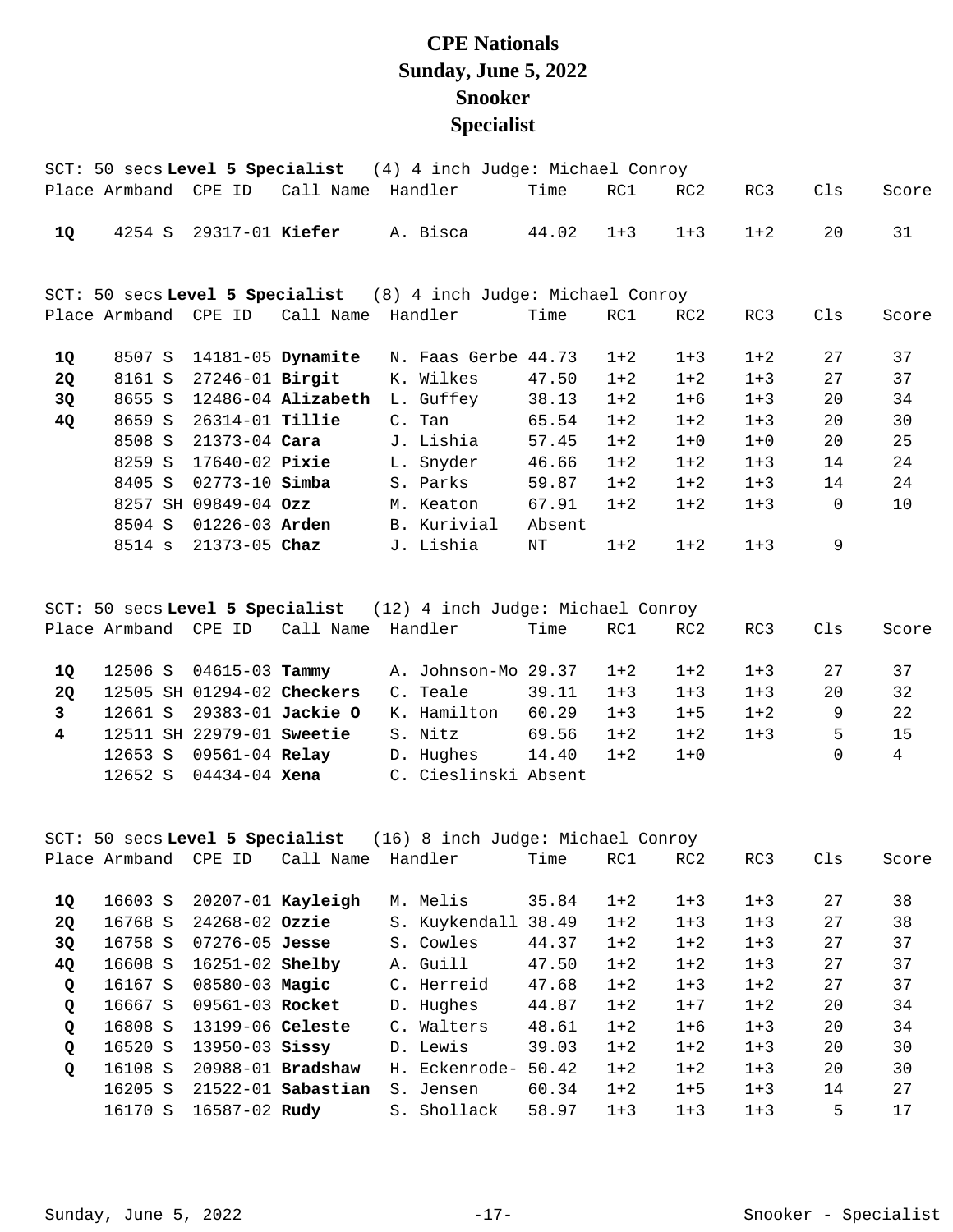## **CPE Nationals Sunday, June 5, 2022 Snooker Specialist**

|    |                      |                        |                        | SCT: 50 secs Level 5 Specialist (4) 4 inch Judge: Michael Conroy |        |         |         |         |          |       |
|----|----------------------|------------------------|------------------------|------------------------------------------------------------------|--------|---------|---------|---------|----------|-------|
|    | Place Armband CPE ID |                        | Call Name Handler      |                                                                  | Time   | RC1     | RC2     | RC3     | Cls      | Score |
| 10 | 4254 S               | 29317-01 Kiefer        |                        | A. Bisca                                                         | 44.02  | $1 + 3$ | $1 + 3$ | $1 + 2$ | 20       | 31    |
|    |                      |                        |                        | SCT: 50 secs Level 5 Specialist (8) 4 inch Judge: Michael Conroy |        |         |         |         |          |       |
|    | Place Armband CPE ID |                        | Call Name              | Handler                                                          | Time   | RC1     | RC2     | RC3     | Cls      | Score |
| 1Q | 8507 S               |                        | 14181-05 Dynamite      | N. Faas Gerbe 44.73                                              |        | $1+2$   | $1 + 3$ | $1 + 2$ | 27       | 37    |
| 2Q | 8161 S               | 27246-01 <b>Birgit</b> |                        | K. Wilkes                                                        | 47.50  | $1 + 2$ | $1 + 2$ | $1 + 3$ | 27       | 37    |
| 3Q | 8655 S               |                        | $12486 - 04$ Alizabeth | L. Guffey                                                        | 38.13  | $1 + 2$ | $1 + 6$ | $1 + 3$ | 20       | 34    |
| 4Q | 8659 S               | 26314-01 <b>Tillie</b> |                        | C. Tan                                                           | 65.54  | $1 + 2$ | $1 + 2$ | $1 + 3$ | 20       | 30    |
|    | 8508 S               | 21373-04 <b>Cara</b>   |                        | J. Lishia                                                        | 57.45  | $1 + 2$ | $1 + 0$ | $1 + 0$ | 20       | 25    |
|    | 8259 S               | 17640-02 Pixie         |                        | L. Snyder                                                        | 46.66  | $1 + 2$ | $1 + 2$ | $1 + 3$ | 14       | 24    |
|    | 8405 S               | $02773 - 10$ Simba     |                        | S. Parks                                                         | 59.87  | $1 + 2$ | $1 + 2$ | $1 + 3$ | 14       | 24    |
|    |                      | 8257 SH 09849-04 Ozz   |                        | M. Keaton                                                        | 67.91  | $1 + 2$ | $1 + 2$ | $1 + 3$ | $\Omega$ | 10    |
|    | 8504 S               | 01226-03 Arden         |                        | B. Kurivial                                                      | Absent |         |         |         |          |       |
|    | 8514 s               | 21373-05 Chaz          |                        | J. Lishia                                                        | ΝT     | $1 + 2$ | $1 + 2$ | $1 + 3$ | 9        |       |
|    |                      |                        |                        |                                                                  |        |         |         |         |          |       |
|    |                      |                        |                        |                                                                  |        |         |         |         |          |       |

|                | SCT: 50 secs Level 5 Specialist $(12)$ 4 inch Judge: Michael Conroy |  |                            |                           |  |                         |       |         |         |         |     |       |
|----------------|---------------------------------------------------------------------|--|----------------------------|---------------------------|--|-------------------------|-------|---------|---------|---------|-----|-------|
|                |                                                                     |  | Place Armband CPE ID       | Call Name Handler         |  |                         | Time  | RC1     | RC2     | RC3     | Cls | Score |
| 10             |                                                                     |  | $12506$ S $04615-03$ Tammy |                           |  | A. Johnson-Mo 29.37 1+2 |       |         | $1+2$   | $1 + 3$ | 27  | 37    |
| 20             |                                                                     |  | 12505 SH 01294-02 Checkers |                           |  | C. Teale                | 39.11 | $1+3$   | $1 + 3$ | $1+3$   | 20  | 32    |
| 3              |                                                                     |  |                            | 12661 S 29383-01 Jackie O |  | K. Hamilton             | 60.29 | $1 + 3$ | $1 + 5$ | $1 + 2$ | 9   | 22    |
| $\overline{4}$ |                                                                     |  | 12511 SH 22979-01 Sweetie  |                           |  | S. Nitz                 | 69.56 | $1+2$   | $1 + 2$ | $1+3$   | 5   | 15    |
|                |                                                                     |  | 12653 S 09561-04 Relay     |                           |  | D. Hughes               | 14.40 | $1 + 2$ | $1 + 0$ |         |     | 4     |
|                | 12652 S                                                             |  | 04434-04 <b>Xena</b>       |                           |  | C. Cieslinski Absent    |       |         |         |         |     |       |

|              | SCT: 50 secs Level 5 Specialist<br>(16) 8 inch Judge: Michael Conroy |                        |                        |  |               |       |         |                 |         |     |       |  |
|--------------|----------------------------------------------------------------------|------------------------|------------------------|--|---------------|-------|---------|-----------------|---------|-----|-------|--|
|              | Place Armband                                                        | CPE ID                 | Call Name              |  | Handler       | Time  | RC1     | RC <sub>2</sub> | RC3     | C1s | Score |  |
| 10           | 16603 S                                                              |                        | $20207 - 01$ Kayleigh  |  | M. Melis      | 35.84 | $1 + 2$ | $1 + 3$         | $1 + 3$ | 27  | 38    |  |
| <b>20</b>    | 16768 S                                                              | $24268 - 02$ Ozzie     |                        |  | S. Kuykendall | 38.49 | $1 + 2$ | $1 + 3$         | $1 + 3$ | 27  | 38    |  |
| 3Q           | 16758 S                                                              | $07276 - 05$ Jesse     |                        |  | S. Cowles     | 44.37 | $1 + 2$ | $1 + 2$         | $1 + 3$ | 27  | 37    |  |
| <b>40</b>    | 16608 S                                                              | 16251-02 <b>Shelby</b> |                        |  | A. Guill      | 47.50 | $1 + 2$ | $1 + 2$         | $1 + 3$ | 27  | 37    |  |
| $\mathbf Q$  | 16167 S                                                              | $08580 - 03$ Magic     |                        |  | C. Herreid    | 47.68 | $1 + 2$ | $1 + 3$         | $1 + 2$ | 27  | 37    |  |
| $\mathbf{Q}$ | 16667 S                                                              | 09561-03 Rocket        |                        |  | D. Hughes     | 44.87 | $1 + 2$ | $1 + 7$         | $1 + 2$ | 20  | 34    |  |
| $\mathbf Q$  | 16808 S                                                              | $13199-06$ Celeste     |                        |  | C. Walters    | 48.61 | $1+2$   | $1 + 6$         | $1 + 3$ | 20  | 34    |  |
| $\circ$      | 16520 S                                                              | $13950 - 03$ Sissy     |                        |  | D. Lewis      | 39.03 | $1 + 2$ | $1 + 2$         | $1 + 3$ | 20  | 30    |  |
| $\mathbf{Q}$ | 16108 S                                                              |                        | 20988-01 Bradshaw      |  | H. Eckenrode- | 50.42 | $1 + 2$ | $1 + 2$         | $1 + 3$ | 20  | 30    |  |
|              | 16205 S                                                              |                        | $21522 - 01$ Sabastian |  | S. Jensen     | 60.34 | $1+2$   | $1 + 5$         | $1 + 3$ | 14  | 27    |  |
|              | 16170 S                                                              | 16587-02 Rudy          |                        |  | S. Shollack   | 58.97 | $1 + 3$ | $1 + 3$         | $1 + 3$ | 5   | 17    |  |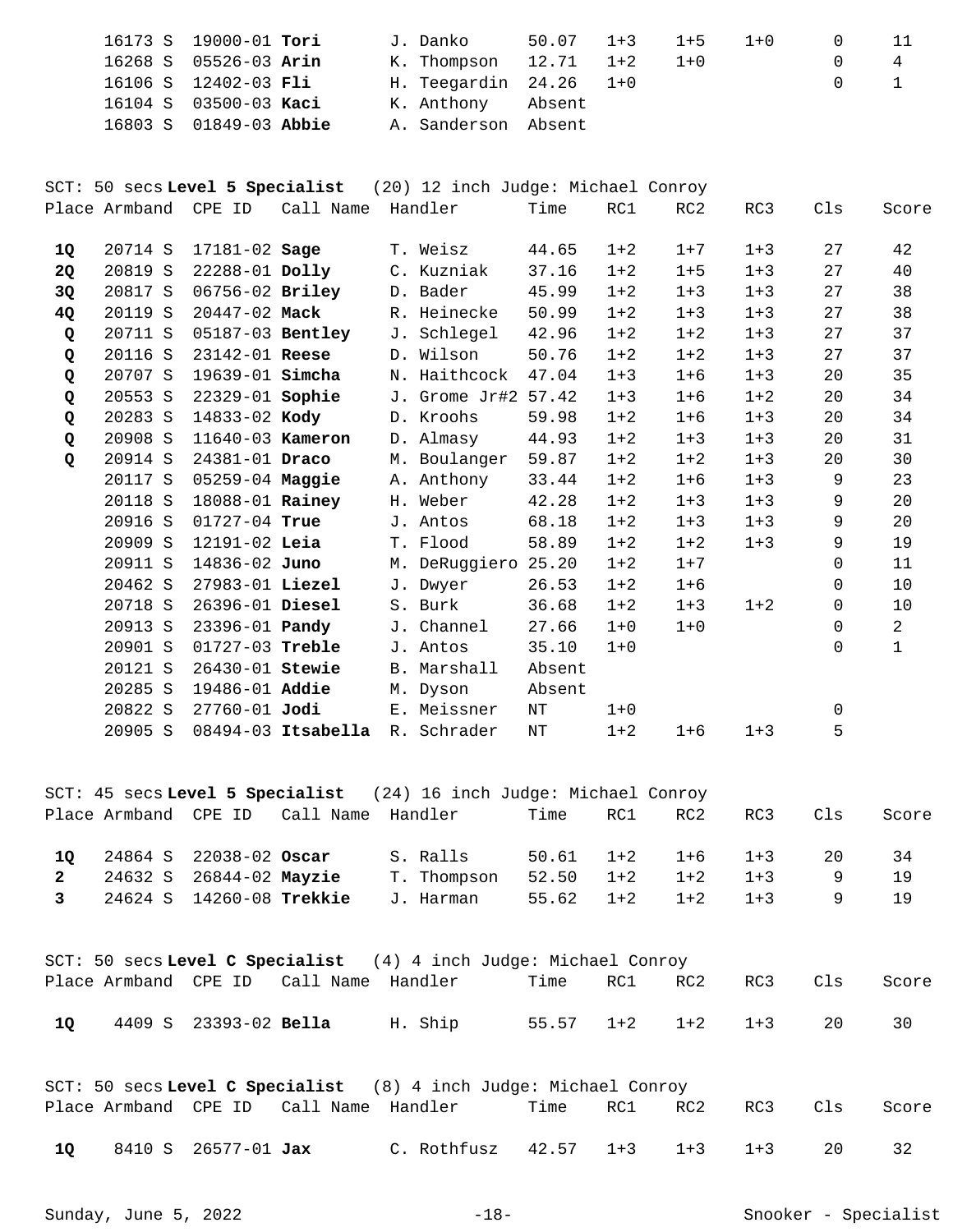| 16173 S 19000-01 Tori |                        |  | J. Danko                 | 50.07 1+3 1+5 |         | $1 + 0$ |              |   |
|-----------------------|------------------------|--|--------------------------|---------------|---------|---------|--------------|---|
| 16268 S 05526-03 Arin |                        |  | K. Thompson 12.71 1+2    |               | $1 + 0$ |         | $\Omega$     | 4 |
| 16106 S 12402-03 Fli  |                        |  | H. Teegardin $24.26$ 1+0 |               |         |         | $0 \qquad 1$ |   |
| 16104 S 03500-03 Kaci |                        |  | K. Anthony Absent        |               |         |         |              |   |
|                       | 16803 S 01849-03 Abbie |  | A. Sanderson Absent      |               |         |         |              |   |

SCT: 50 secs **Level 5 Specialist** (20) 12 inch Judge: Michael Conroy Place Armband CPE ID Call Name Handler Time RC1 RC2 RC3 Cls Score

| <b>10</b>   | 20714 S | $17181 - 02$ Sage      |                      | T. Weisz            | 44.65  | $1 + 2$ | $1 + 7$ | $1 + 3$ | 27       | 42 |
|-------------|---------|------------------------|----------------------|---------------------|--------|---------|---------|---------|----------|----|
| <b>2Q</b>   | 20819 S | $22288 - 01$ Dolly     |                      | C. Kuzniak          | 37.16  | $1 + 2$ | $1 + 5$ | $1 + 3$ | 27       | 40 |
| 3Q          | 20817 S | 06756-02 Briley        |                      | D. Bader            | 45.99  | $1 + 2$ | $1 + 3$ | $1 + 3$ | 27       | 38 |
| 4Q          | 20119 S | 20447-02 Mack          |                      | R. Heinecke         | 50.99  | $1 + 2$ | $1 + 3$ | $1 + 3$ | 27       | 38 |
| Q           | 20711 S | 05187-03 Bentley       |                      | J. Schlegel         | 42.96  | $1 + 2$ | $1 + 2$ | $1 + 3$ | 27       | 37 |
| Q           | 20116 S | $23142 - 01$ Reese     |                      | D. Wilson           | 50.76  | $1 + 2$ | $1 + 2$ | $1 + 3$ | 27       | 37 |
| Q           | 20707 S | 19639-01 <b>Simcha</b> |                      | N. Haithcock        | 47.04  | $1 + 3$ | $1 + 6$ | $1 + 3$ | 20       | 35 |
| Q           | 20553 S | 22329-01 Sophie        |                      | J. Grome Jr#2 57.42 |        | $1 + 3$ | $1 + 6$ | $1 + 2$ | 20       | 34 |
| Q           | 20283 S | 14833-02 Kody          |                      | D. Kroohs           | 59.98  | $1 + 2$ | $1 + 6$ | $1 + 3$ | 20       | 34 |
| Q           | 20908 S | 11640-03 Kameron       |                      | D. Almasy           | 44.93  | $1 + 2$ | $1 + 3$ | $1 + 3$ | 20       | 31 |
| $\mathbf Q$ | 20914 S | 24381-01 Draco         |                      | M. Boulanger        | 59.87  | $1 + 2$ | $1 + 2$ | $1 + 3$ | 20       | 30 |
|             | 20117 S | $05259-04$ Maggie      |                      | A. Anthony          | 33.44  | $1 + 2$ | $1 + 6$ | $1 + 3$ | 9        | 23 |
|             | 20118 S | 18088-01 Rainey        |                      | H. Weber            | 42.28  | $1 + 2$ | $1 + 3$ | $1 + 3$ | 9        | 20 |
|             | 20916 S | 01727-04 True          |                      | J. Antos            | 68.18  | $1 + 2$ | $1 + 3$ | $1 + 3$ | 9        | 20 |
|             | 20909 S | $12191 - 02$ Leia      |                      | T. Flood            | 58.89  | $1 + 2$ | $1 + 2$ | $1 + 3$ | 9        | 19 |
|             | 20911 S | 14836-02 Juno          |                      | M. DeRuggiero       | 25.20  | $1 + 2$ | $1 + 7$ |         | 0        | 11 |
|             | 20462 S | 27983-01 Liezel        |                      | J. Dwyer            | 26.53  | $1 + 2$ | $1 + 6$ |         | $\Omega$ | 10 |
|             | 20718 S | 26396-01 Diesel        |                      | S. Burk             | 36.68  | $1 + 2$ | $1 + 3$ | $1 + 2$ | $\Omega$ | 10 |
|             | 20913 S | 23396-01 <b>Pandy</b>  |                      | J. Channel          | 27.66  | $1 + 0$ | $1 + 0$ |         | 0        | 2  |
|             | 20901 S | $01727 - 03$ Treble    |                      | J. Antos            | 35.10  | $1 + 0$ |         |         | $\Omega$ | 1  |
|             | 20121 S | 26430-01 Stewie        |                      | B. Marshall         | Absent |         |         |         |          |    |
|             | 20285 S | 19486-01 Addie         |                      | M. Dyson            | Absent |         |         |         |          |    |
|             | 20822 S | $27760 - 01$ Jodi      |                      | E. Meissner         | ΝT     | $1 + 0$ |         |         | $\Omega$ |    |
|             | 20905 S |                        | $08494-03$ Itsabella | R. Schrader         | ΝT     | $1 + 2$ | $1 + 6$ | $1 + 3$ | 5        |    |
|             |         |                        |                      |                     |        |         |         |         |          |    |

SCT: 45 secs **Level 5 Specialist** (24) 16 inch Judge: Michael Conroy Place Armband CPE ID Call Name Handler Time RC1 RC2 RC3 Cls Score 24864 S 22038-02 S. Ralls 50.61 1+2 1+6 1+3 20 34 **1Q Oscar**  24632 S 26844-02 T. Thompson 52.50 1+2 1+2 1+3 9 19 **2 Mayzie**  24624 S 14260-08 J. Harman 55.62 1+2 1+2 1+3 9 19 **3 Trekkie** 

SCT: 50 secs **Level C Specialist** (4) 4 inch Judge: Michael Conroy Place Armband CPE ID Call Name Handler Time RC1 RC2 RC3 Cls Score 4409 S 23393-02 H. Ship 55.57 1+2 1+2 1+3 20 30 **1Q Bella** 

|      |                            |                                            | SCT: 50 secs Level C Specialist (8) 4 inch Judge: Michael Conroy |  |                  |     |       |
|------|----------------------------|--------------------------------------------|------------------------------------------------------------------|--|------------------|-----|-------|
|      |                            | Place Armband CPE ID - Call Name - Handler |                                                                  |  | Time RC1 RC2 RC3 | Cls | Score |
| - 10 | 8410 S 26577-01 <b>Jax</b> |                                            | C. Rothfusz $42.57$ $1+3$ $1+3$ $1+3$                            |  |                  |     |       |